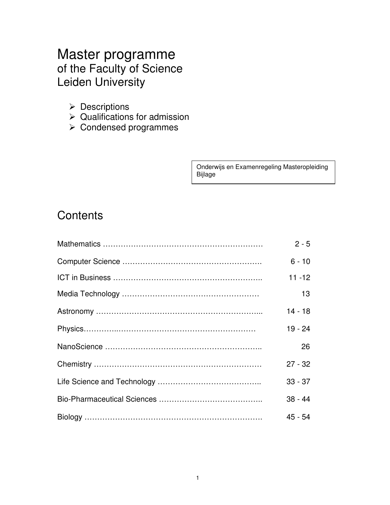# Master programme of the Faculty of Science Leiden University

- ▶ Descriptions
- $\triangleright$  Qualifications for admission
- Condensed programmes

Onderwijs en Examenregeling Masteropleiding Bijlage

# **Contents**

| $2 - 5$   |
|-----------|
| $6 - 10$  |
| $11 - 12$ |
| 13        |
| $14 - 18$ |
| $19 - 24$ |
| 26        |
| $27 - 32$ |
| $33 - 37$ |
| $38 - 44$ |
| $45 - 54$ |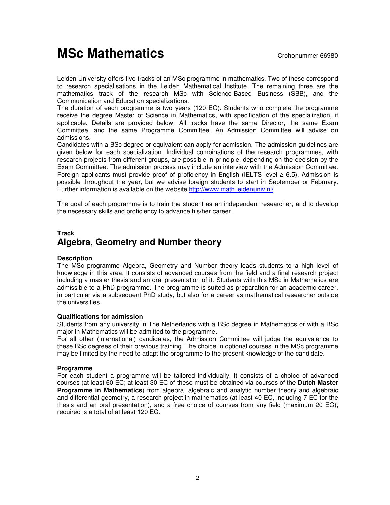# **MSc Mathematics** Crohonummer 66980

Leiden University offers five tracks of an MSc programme in mathematics. Two of these correspond to research specialisations in the Leiden Mathematical Institute. The remaining three are the mathematics track of the research MSc with Science-Based Business (SBB), and the Communication and Education specializations.

The duration of each programme is two years (120 EC). Students who complete the programme receive the degree Master of Science in Mathematics, with specification of the specialization, if applicable. Details are provided below. All tracks have the same Director, the same Exam Committee, and the same Programme Committee. An Admission Committee will advise on admissions.

Candidates with a BSc degree or equivalent can apply for admission. The admission guidelines are given below for each specialization. Individual combinations of the research programmes, with research projects from different groups, are possible in principle, depending on the decision by the Exam Committee. The admission process may include an interview with the Admission Committee. Foreign applicants must provide proof of proficiency in English (IELTS level  $\geq 6.5$ ). Admission is possible throughout the year, but we advise foreign students to start in September or February. Further information is available on the website http://www.math.leidenuniv.nl/

The goal of each programme is to train the student as an independent researcher, and to develop the necessary skills and proficiency to advance his/her career.

# **Track Algebra, Geometry and Number theory**

## **Description**

The MSc programme Algebra, Geometry and Number theory leads students to a high level of knowledge in this area. It consists of advanced courses from the field and a final research project including a master thesis and an oral presentation of it. Students with this MSc in Mathematics are admissible to a PhD programme. The programme is suited as preparation for an academic career, in particular via a subsequent PhD study, but also for a career as mathematical researcher outside the universities.

#### **Qualifications for admission**

Students from any university in The Netherlands with a BSc degree in Mathematics or with a BSc major in Mathematics will be admitted to the programme.

For all other (international) candidates, the Admission Committee will judge the equivalence to these BSc degrees of their previous training. The choice in optional courses in the MSc programme may be limited by the need to adapt the programme to the present knowledge of the candidate.

## **Programme**

For each student a programme will be tailored individually. It consists of a choice of advanced courses (at least 60 EC; at least 30 EC of these must be obtained via courses of the **Dutch Master Programme in Mathematics**) from algebra, algebraic and analytic number theory and algebraic and differential geometry, a research project in mathematics (at least 40 EC, including 7 EC for the thesis and an oral presentation), and a free choice of courses from any field (maximum 20 EC); required is a total of at least 120 EC.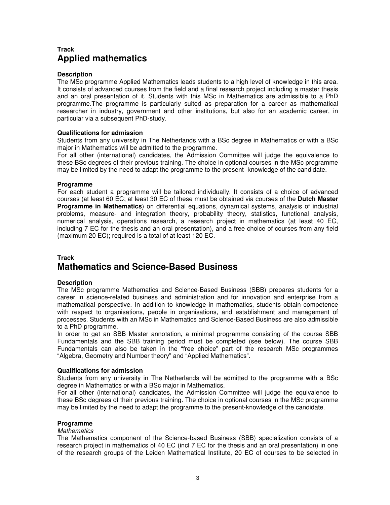# **Track Applied mathematics**

#### **Description**

The MSc programme Applied Mathematics leads students to a high level of knowledge in this area. It consists of advanced courses from the field and a final research project including a master thesis and an oral presentation of it. Students with this MSc in Mathematics are admissible to a PhD programme.The programme is particularly suited as preparation for a career as mathematical researcher in industry, government and other institutions, but also for an academic career, in particular via a subsequent PhD-study.

#### **Qualifications for admission**

Students from any university in The Netherlands with a BSc degree in Mathematics or with a BSc major in Mathematics will be admitted to the programme.

For all other (international) candidates, the Admission Committee will judge the equivalence to these BSc degrees of their previous training. The choice in optional courses in the MSc programme may be limited by the need to adapt the programme to the present -knowledge of the candidate.

### **Programme**

For each student a programme will be tailored individually. It consists of a choice of advanced courses (at least 60 EC; at least 30 EC of these must be obtained via courses of the **Dutch Master Programme in Mathematics**) on differential equations, dynamical systems, analysis of industrial problems, measure- and integration theory, probability theory, statistics, functional analysis, numerical analysis, operations research, a research project in mathematics (at least 40 EC, including 7 EC for the thesis and an oral presentation), and a free choice of courses from any field (maximum 20 EC); required is a total of at least 120 EC.

# **Track Mathematics and Science-Based Business**

## **Description**

The MSc programme Mathematics and Science-Based Business (SBB) prepares students for a career in science-related business and administration and for innovation and enterprise from a mathematical perspective. In addition to knowledge in mathematics, students obtain competence with respect to organisations, people in organisations, and establishment and management of processes. Students with an MSc in Mathematics and Science-Based Business are also admissible to a PhD programme.

In order to get an SBB Master annotation, a minimal programme consisting of the course SBB Fundamentals and the SBB training period must be completed (see below). The course SBB Fundamentals can also be taken in the "free choice" part of the research MSc programmes "Algebra, Geometry and Number theory" and "Applied Mathematics".

#### **Qualifications for admission**

Students from any university in The Netherlands will be admitted to the programme with a BSc degree in Mathematics or with a BSc major in Mathematics.

For all other (international) candidates, the Admission Committee will judge the equivalence to these BSc degrees of their previous training. The choice in optional courses in the MSc programme may be limited by the need to adapt the programme to the present-knowledge of the candidate.

#### **Programme**

#### **Mathematics**

The Mathematics component of the Science-based Business (SBB) specialization consists of a research project in mathematics of 40 EC (incl 7 EC for the thesis and an oral presentation) in one of the research groups of the Leiden Mathematical Institute, 20 EC of courses to be selected in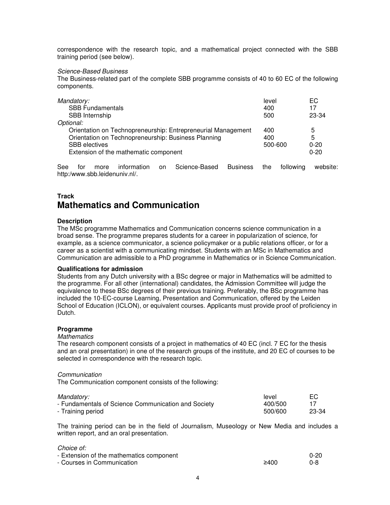correspondence with the research topic, and a mathematical project connected with the SBB training period (see below).

#### Science-Based Business

The Business-related part of the complete SBB programme consists of 40 to 60 EC of the following components.

| Mandatory:                                                   | level   | ЕC       |
|--------------------------------------------------------------|---------|----------|
| <b>SBB Fundamentals</b>                                      | 400     | 17       |
| SBB Internship                                               | 500     | 23-34    |
| Optional:                                                    |         |          |
| Orientation on Technopreneurship: Entrepreneurial Management | 400     | 5        |
| Orientation on Technopreneurship: Business Planning          | 400     | 5        |
| <b>SBB</b> electives                                         | 500-600 | $0 - 20$ |
| Extension of the mathematic component                        |         | $0 - 20$ |
|                                                              |         |          |

See for more information on Science-Based Business the following website: http:/www.sbb.leidenuniv.nl/.

## **Track Mathematics and Communication**

#### **Description**

The MSc programme Mathematics and Communication concerns science communication in a broad sense. The programme prepares students for a career in popularization of science, for example, as a science communicator, a science policymaker or a public relations officer, or for a career as a scientist with a communicating mindset. Students with an MSc in Mathematics and Communication are admissible to a PhD programme in Mathematics or in Science Communication.

#### **Qualifications for admission**

Students from any Dutch university with a BSc degree or major in Mathematics will be admitted to the programme. For all other (international) candidates, the Admission Committee will judge the equivalence to these BSc degrees of their previous training. Preferably, the BSc programme has included the 10-EC-course Learning, Presentation and Communication, offered by the Leiden School of Education (ICLON), or equivalent courses. Applicants must provide proof of proficiency in Dutch.

#### **Programme**

#### **Mathematics**

The research component consists of a project in mathematics of 40 EC (incl. 7 EC for the thesis and an oral presentation) in one of the research groups of the institute, and 20 EC of courses to be selected in correspondence with the research topic.

#### **Communication**

The Communication component consists of the following:

| Mandatory:                                          | level   | EC.   |
|-----------------------------------------------------|---------|-------|
| - Fundamentals of Science Communication and Society | 400/500 |       |
| - Training period                                   | 500/600 | 23-34 |

The training period can be in the field of Journalism, Museology or New Media and includes a written report, and an oral presentation.

#### Choice of:

| - Extension of the mathematics component |      | $0 - 20$ |
|------------------------------------------|------|----------|
| - Courses in Communication               | ≥400 | 0-8      |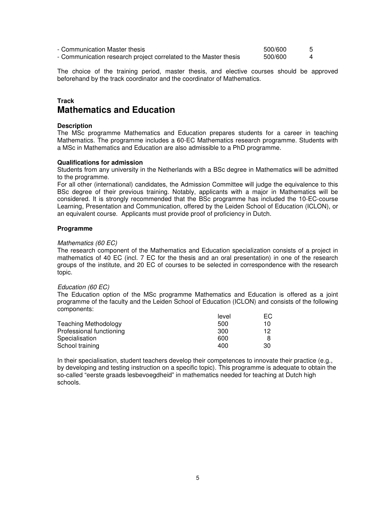| - Communication Master thesis                                    | 500/600 |  |
|------------------------------------------------------------------|---------|--|
| - Communication research project correlated to the Master thesis | 500/600 |  |

The choice of the training period, master thesis, and elective courses should be approved beforehand by the track coordinator and the coordinator of Mathematics.

## **Track Mathematics and Education**

#### **Description**

The MSc programme Mathematics and Education prepares students for a career in teaching Mathematics. The programme includes a 60-EC Mathematics research programme. Students with a MSc in Mathematics and Education are also admissible to a PhD programme.

#### **Qualifications for admission**

Students from any university in the Netherlands with a BSc degree in Mathematics will be admitted to the programme.

For all other (international) candidates, the Admission Committee will judge the equivalence to this BSc degree of their previous training. Notably, applicants with a major in Mathematics will be considered. It is strongly recommended that the BSc programme has included the 10-EC-course Learning, Presentation and Communication, offered by the Leiden School of Education (ICLON), or an equivalent course. Applicants must provide proof of proficiency in Dutch.

#### **Programme**

#### Mathematics (60 EC)

The research component of the Mathematics and Education specialization consists of a project in mathematics of 40 EC (incl. 7 EC for the thesis and an oral presentation) in one of the research groups of the institute, and 20 EC of courses to be selected in correspondence with the research topic.

#### Education (60 EC)

The Education option of the MSc programme Mathematics and Education is offered as a joint programme of the faculty and the Leiden School of Education (ICLON) and consists of the following components:

|                             | level | ЕC |
|-----------------------------|-------|----|
| <b>Teaching Methodology</b> | 500   | 10 |
| Professional functioning    | 300   | 12 |
| Specialisation              | 600   |    |
| School training             | 400   | 30 |

In their specialisation, student teachers develop their competences to innovate their practice (e.g., by developing and testing instruction on a specific topic). This programme is adequate to obtain the so-called "eerste graads lesbevoegdheid" in mathematics needed for teaching at Dutch high schools.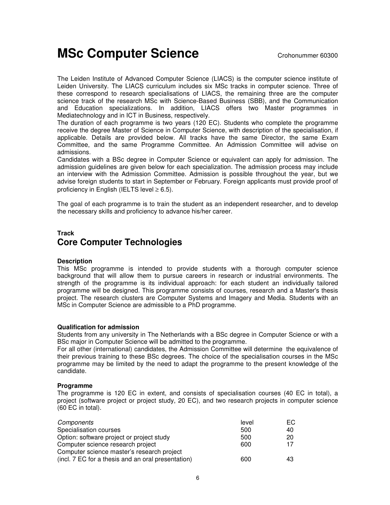# **MSc Computer Science** Crohonummer 60300

The Leiden Institute of Advanced Computer Science (LIACS) is the computer science institute of Leiden University. The LIACS curriculum includes six MSc tracks in computer science. Three of these correspond to research specialisations of LIACS, the remaining three are the computer science track of the research MSc with Science-Based Business (SBB), and the Communication and Education specializations. In addition, LIACS offers two Master programmes in Mediatechnology and in ICT in Business, respectively.

The duration of each programme is two years (120 EC). Students who complete the programme receive the degree Master of Science in Computer Science, with description of the specialisation, if applicable. Details are provided below. All tracks have the same Director, the same Exam Committee, and the same Programme Committee. An Admission Committee will advise on admissions.

Candidates with a BSc degree in Computer Science or equivalent can apply for admission. The admission guidelines are given below for each specialization. The admission process may include an interview with the Admission Committee. Admission is possible throughout the year, but we advise foreign students to start in September or February. Foreign applicants must provide proof of proficiency in English (IELTS level  $\geq 6.5$ ).

The goal of each programme is to train the student as an independent researcher, and to develop the necessary skills and proficiency to advance his/her career.

# **Track Core Computer Technologies**

## **Description**

This MSc programme is intended to provide students with a thorough computer science background that will allow them to pursue careers in research or industrial environments. The strength of the programme is its individual approach: for each student an individually tailored programme will be designed. This programme consists of courses, research and a Master's thesis project. The research clusters are Computer Systems and Imagery and Media. Students with an MSc in Computer Science are admissible to a PhD programme.

#### **Qualification for admission**

Students from any university in The Netherlands with a BSc degree in Computer Science or with a BSc major in Computer Science will be admitted to the programme.

For all other (international) candidates, the Admission Committee will determine the equivalence of their previous training to these BSc degrees. The choice of the specialisation courses in the MSc programme may be limited by the need to adapt the programme to the present knowledge of the candidate.

#### **Programme**

The programme is 120 EC in extent, and consists of specialisation courses (40 EC in total), a project (software project or project study, 20 EC), and two research projects in computer science (60 EC in total).

| Components                                         | level | EC. |
|----------------------------------------------------|-------|-----|
| Specialisation courses                             | 500   | 40  |
| Option: software project or project study          | 500   | 20  |
| Computer science research project                  | 600   | 17  |
| Computer science master's research project         |       |     |
| (incl. 7 EC for a thesis and an oral presentation) | 600   | 43  |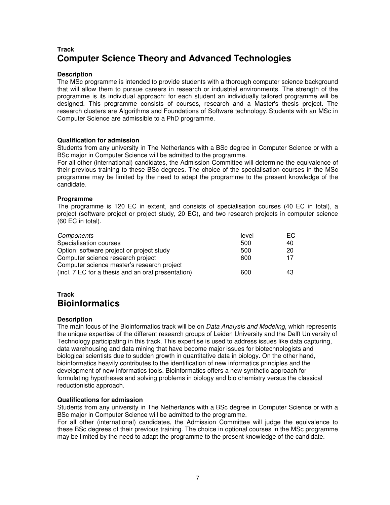# **Track Computer Science Theory and Advanced Technologies**

### **Description**

The MSc programme is intended to provide students with a thorough computer science background that will allow them to pursue careers in research or industrial environments. The strength of the programme is its individual approach: for each student an individually tailored programme will be designed. This programme consists of courses, research and a Master's thesis project. The research clusters are Algorithms and Foundations of Software technology. Students with an MSc in Computer Science are admissible to a PhD programme.

#### **Qualification for admission**

Students from any university in The Netherlands with a BSc degree in Computer Science or with a BSc major in Computer Science will be admitted to the programme.

For all other (international) candidates, the Admission Committee will determine the equivalence of their previous training to these BSc degrees. The choice of the specialisation courses in the MSc programme may be limited by the need to adapt the programme to the present knowledge of the candidate.

#### **Programme**

The programme is 120 EC in extent, and consists of specialisation courses (40 EC in total), a project (software project or project study, 20 EC), and two research projects in computer science (60 EC in total).

| Components                                         | level | EC. |
|----------------------------------------------------|-------|-----|
| Specialisation courses                             | 500   | 40  |
| Option: software project or project study          | 500   | 20  |
| Computer science research project                  | 600   | 17  |
| Computer science master's research project         |       |     |
| (incl. 7 EC for a thesis and an oral presentation) | 600   | 43  |

## **Track Bioinformatics**

## **Description**

The main focus of the Bioinformatics track will be on *Data Analysis and Modeling*, which represents the unique expertise of the different research groups of Leiden University and the Delft University of Technology participating in this track. This expertise is used to address issues like data capturing, data warehousing and data mining that have become major issues for biotechnologists and biological scientists due to sudden growth in quantitative data in biology. On the other hand, bioinformatics heavily contributes to the identification of new informatics principles and the development of new informatics tools. Bioinformatics offers a new synthetic approach for formulating hypotheses and solving problems in biology and bio chemistry versus the classical reductionistic approach.

#### **Qualifications for admission**

Students from any university in The Netherlands with a BSc degree in Computer Science or with a BSc major in Computer Science will be admitted to the programme.

For all other (international) candidates, the Admission Committee will judge the equivalence to these BSc degrees of their previous training. The choice in optional courses in the MSc programme may be limited by the need to adapt the programme to the present knowledge of the candidate.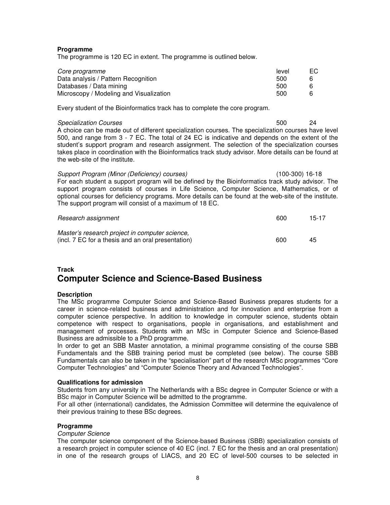#### **Programme**

The programme is 120 EC in extent. The programme is outlined below.

| Core programme                          | level | ЕC |
|-----------------------------------------|-------|----|
| Data analysis / Pattern Recognition     | 500   |    |
| Databases / Data mining                 | 500   |    |
| Microscopy / Modeling and Visualization | 500   |    |

Every student of the Bioinformatics track has to complete the core program.

#### Specialization Courses 600 and 100 and 100 and 100 and 100 and 100 and 100 and 100 and 100 and 100 and 100 and 100 and 100 and 100 and 100 and 100 and 100 and 100 and 100 and 100 and 100 and 100 and 100 and 100 and 100 and

A choice can be made out of different specialization courses. The specialization courses have level 500, and range from 3 - 7 EC. The total of 24 EC is indicative and depends on the extent of the student's support program and research assignment. The selection of the specialization courses takes place in coordination with the Bioinformatics track study advisor. More details can be found at the web-site of the institute.

Support Program (Minor (Deficiency) courses) (100-300) 16-18 For each student a support program will be defined by the Bioinformatics track study advisor. The support program consists of courses in Life Science, Computer Science, Mathematics, or of optional courses for deficiency programs. More details can be found at the web-site of the institute. The support program will consist of a maximum of 18 EC.

| Research assignment                                                                                  | 600 | 15-17 |
|------------------------------------------------------------------------------------------------------|-----|-------|
| Master's research project in computer science,<br>(incl. 7 EC for a thesis and an oral presentation) | 600 | 45    |

# **Track Computer Science and Science-Based Business**

## **Description**

The MSc programme Computer Science and Science-Based Business prepares students for a career in science-related business and administration and for innovation and enterprise from a computer science perspective. In addition to knowledge in computer science, students obtain competence with respect to organisations, people in organisations, and establishment and management of processes. Students with an MSc in Computer Science and Science-Based Business are admissible to a PhD programme.

In order to get an SBB Master annotation, a minimal programme consisting of the course SBB Fundamentals and the SBB training period must be completed (see below). The course SBB Fundamentals can also be taken in the "specialisation" part of the research MSc programmes "Core Computer Technologies" and "Computer Science Theory and Advanced Technologies".

#### **Qualifications for admission**

Students from any university in The Netherlands with a BSc degree in Computer Science or with a BSc major in Computer Science will be admitted to the programme.

For all other (international) candidates, the Admission Committee will determine the equivalence of their previous training to these BSc degrees.

## **Programme**

#### Computer Science

The computer science component of the Science-based Business (SBB) specialization consists of a research project in computer science of 40 EC (incl. 7 EC for the thesis and an oral presentation) in one of the research groups of LIACS, and 20 EC of level-500 courses to be selected in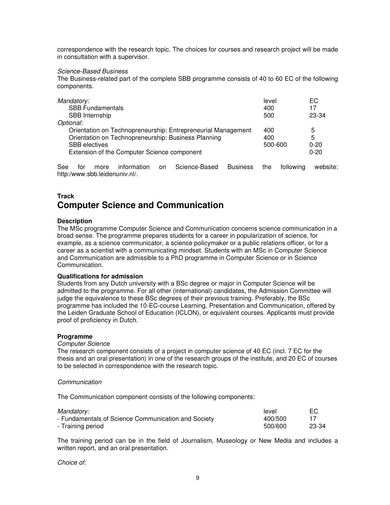correspondence with the research topic. The choices for courses and research project will be made in consultation with a supervisor.

#### Science-Based Business

The Business-related part of the complete SBB programme consists of 40 to 60 EC of the following components.

| Mandatory:                                                   | level   | EC.      |
|--------------------------------------------------------------|---------|----------|
| <b>SBB Fundamentals</b>                                      | 400     | 17       |
| SBB Internship                                               | 500     | 23-34    |
| Optional:                                                    |         |          |
| Orientation on Technopreneurship: Entrepreneurial Management | 400     | 5        |
| Orientation on Technopreneurship: Business Planning          | 400     | 5        |
| <b>SBB</b> electives                                         | 500-600 | $0 - 20$ |
| Extension of the Computer Science component                  |         | $0 - 20$ |
|                                                              |         |          |

See for more information on Science-Based Business the following website: http:/www.sbb.leidenuniv.nl/.

## **Track Computer Science and Communication**

#### **Description**

The MSc programme Computer Science and Communication concerns science communication in a broad sense. The programme prepares students for a career in popularization of science, for example, as a science communicator, a science policymaker or a public relations officer, or for a career as a scientist with a communicating mindset. Students with an MSc in Computer Science and Communication are admissible to a PhD programme in Computer Science or in Science Communication.

#### **Qualifications for admission**

Students from any Dutch university with a BSc degree or major in Computer Science will be admitted to the programme. For all other (international) candidates, the Admission Committee will judge the equivalence to these BSc degrees of their previous training. Preferably, the BSc programme has included the 10-EC-course Learning, Presentation and Communication, offered by the Leiden Graduate School of Education (ICLON), or equivalent courses. Applicants must provide proof of proficiency in Dutch.

#### **Programme**

#### Computer Science

The research component consists of a project in computer science of 40 EC (incl. 7 EC for the thesis and an oral presentation) in one of the research groups of the institute, and 20 EC of courses to be selected in correspondence with the research topic.

#### **Communication**

The Communication component consists of the following components:

| Mandatory:                                          | level   | ЕC    |
|-----------------------------------------------------|---------|-------|
| - Fundamentals of Science Communication and Society | 400/500 |       |
| - Training period                                   | 500/600 | 23-34 |

The training period can be in the field of Journalism, Museology or New Media and includes a written report, and an oral presentation.

Choice of: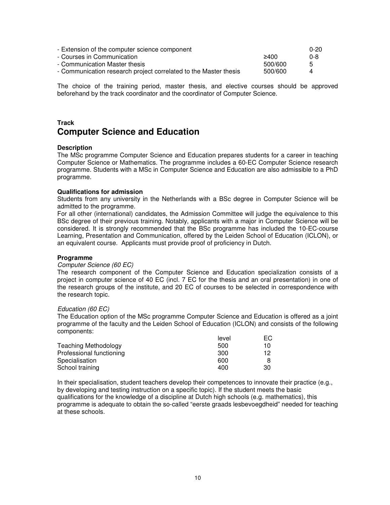| - Extension of the computer science component                    |         | $0 - 20$ |
|------------------------------------------------------------------|---------|----------|
| - Courses in Communication                                       | 2400    | 0-8      |
| - Communication Master thesis                                    | 500/600 | 5        |
| - Communication research project correlated to the Master thesis | 500/600 |          |

The choice of the training period, master thesis, and elective courses should be approved beforehand by the track coordinator and the coordinator of Computer Science.

## **Track Computer Science and Education**

#### **Description**

The MSc programme Computer Science and Education prepares students for a career in teaching Computer Science or Mathematics. The programme includes a 60-EC Computer Science research programme. Students with a MSc in Computer Science and Education are also admissible to a PhD programme.

#### **Qualifications for admission**

Students from any university in the Netherlands with a BSc degree in Computer Science will be admitted to the programme.

For all other (international) candidates, the Admission Committee will judge the equivalence to this BSc degree of their previous training. Notably, applicants with a major in Computer Science will be considered. It is strongly recommended that the BSc programme has included the 10-EC-course Learning, Presentation and Communication, offered by the Leiden School of Education (ICLON), or an equivalent course. Applicants must provide proof of proficiency in Dutch.

#### **Programme**

#### Computer Science (60 EC)

The research component of the Computer Science and Education specialization consists of a project in computer science of 40 EC (incl. 7 EC for the thesis and an oral presentation) in one of the research groups of the institute, and 20 EC of courses to be selected in correspondence with the research topic.

#### Education (60 EC)

The Education option of the MSc programme Computer Science and Education is offered as a joint programme of the faculty and the Leiden School of Education (ICLON) and consists of the following components:

|                             | level | EC. |
|-----------------------------|-------|-----|
| <b>Teaching Methodology</b> | 500   | 10  |
| Professional functioning    | 300   | 12  |
| Specialisation              | 600   |     |
| School training             | 400   | 30  |

In their specialisation, student teachers develop their competences to innovate their practice (e.g., by developing and testing instruction on a specific topic). If the student meets the basic qualifications for the knowledge of a discipline at Dutch high schools (e.g. mathematics), this programme is adequate to obtain the so-called "eerste graads lesbevoegdheid" needed for teaching at these schools.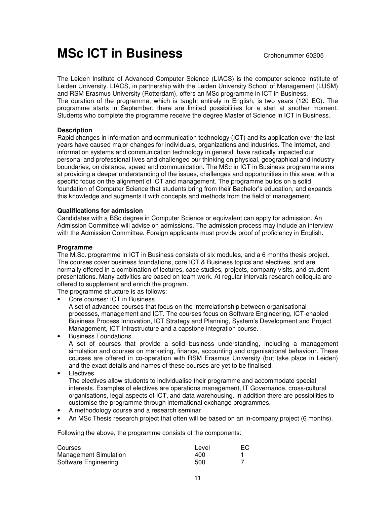# **MSc ICT in Business** Crohonummer 60205

The Leiden Institute of Advanced Computer Science (LIACS) is the computer science institute of Leiden University. LIACS, in partnership with the Leiden University School of Management (LUSM) and RSM Erasmus University (Rotterdam), offers an MSc programme in ICT in Business. The duration of the programme, which is taught entirely in English, is two years (120 EC). The programme starts in September; there are limited possibilities for a start at another moment. Students who complete the programme receive the degree Master of Science in ICT in Business.

## **Description**

Rapid changes in information and communication technology (ICT) and its application over the last years have caused major changes for individuals, organizations and industries. The Internet, and information systems and communication technology in general, have radically impacted our personal and professional lives and challenged our thinking on physical, geographical and industry boundaries, on distance, speed and communication. The MSc in ICT in Business programme aims at providing a deeper understanding of the issues, challenges and opportunities in this area, with a specific focus on the alignment of ICT and management. The programme builds on a solid foundation of Computer Science that students bring from their Bachelor's education, and expands this knowledge and augments it with concepts and methods from the field of management.

## **Qualifications for admission**

Candidates with a BSc degree in Computer Science or equivalent can apply for admission. An Admission Committee will advise on admissions. The admission process may include an interview with the Admission Committee. Foreign applicants must provide proof of proficiency in English.

## **Programme**

The M.Sc. programme in ICT in Business consists of six modules, and a 6 months thesis project. The courses cover business foundations, core ICT & Business topics and electives, and are normally offered in a combination of lectures, case studies, projects, company visits, and student presentations. Many activities are based on team work. At regular intervals research colloquia are offered to supplement and enrich the program.

The programme structure is as follows:

• Core courses: ICT in Business

A set of advanced courses that focus on the interrelationship between organisational processes, management and ICT. The courses focus on Software Engineering, ICT-enabled Business Process Innovation, ICT Strategy and Planning, System's Development and Project Management, ICT Infrastructure and a capstone integration course.

- Business Foundations A set of courses that provide a solid business understanding, including a management simulation and courses on marketing, finance, accounting and organisational behaviour. These courses are offered in co-operation with RSM Erasmus University (but take place in Leiden) and the exact details and names of these courses are yet to be finalised.
- **Electives**

The electives allow students to individualise their programme and accommodate special interests. Examples of electives are operations management, IT Governance, cross-cultural organisations, legal aspects of ICT, and data warehousing. In addition there are possibilities to customise the programme through international exchange programmes.

- A methodology course and a research seminar
- An MSc Thesis research project that often will be based on an in-company project (6 months).

Following the above, the programme consists of the components:

| <b>Courses</b>               | Level | EC. |
|------------------------------|-------|-----|
| <b>Management Simulation</b> | 400   |     |
| Software Engineering         | 500   |     |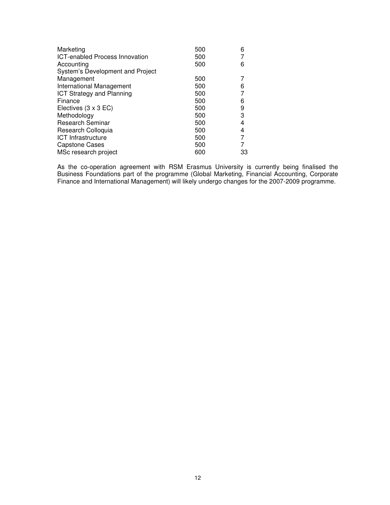| Marketing                             | 500 | 6  |
|---------------------------------------|-----|----|
| <b>ICT-enabled Process Innovation</b> | 500 |    |
| Accounting                            | 500 | 6  |
| System's Development and Project      |     |    |
| Management                            | 500 |    |
| International Management              | 500 | 6  |
| <b>ICT Strategy and Planning</b>      | 500 |    |
| Finance                               | 500 | 6  |
| Electives $(3 \times 3 \text{ EC})$   | 500 | 9  |
| Methodology                           | 500 | 3  |
| <b>Research Seminar</b>               | 500 | 4  |
| Research Colloquia                    | 500 | 4  |
| <b>ICT</b> Infrastructure             | 500 |    |
| <b>Capstone Cases</b>                 | 500 |    |
| MSc research project                  | 600 | 33 |

As the co-operation agreement with RSM Erasmus University is currently being finalised the Business Foundations part of the programme (Global Marketing, Financial Accounting, Corporate Finance and International Management) will likely undergo changes for the 2007-2009 programme.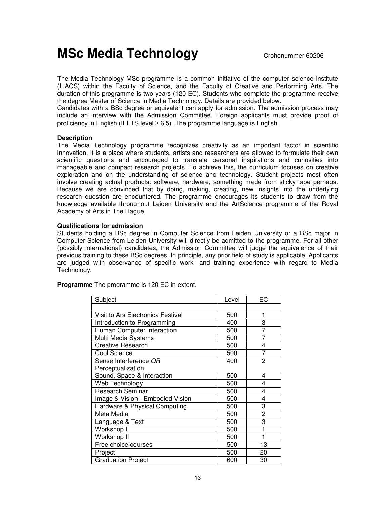# **MSc Media Technology** Crohonummer 60206

The Media Technology MSc programme is a common initiative of the computer science institute (LIACS) within the Faculty of Science, and the Faculty of Creative and Performing Arts. The duration of this programme is two years (120 EC). Students who complete the programme receive the degree Master of Science in Media Technology. Details are provided below.

Candidates with a BSc degree or equivalent can apply for admission. The admission process may include an interview with the Admission Committee. Foreign applicants must provide proof of proficiency in English (IELTS level  $\geq 6.5$ ). The programme language is English.

#### **Description**

The Media Technology programme recognizes creativity as an important factor in scientific innovation. It is a place where students, artists and researchers are allowed to formulate their own scientific questions and encouraged to translate personal inspirations and curiosities into manageable and compact research projects. To achieve this, the curriculum focuses on creative exploration and on the understanding of science and technology. Student projects most often involve creating actual products: software, hardware, something made from sticky tape perhaps. Because we are convinced that by doing, making, creating, new insights into the underlying research question are encountered. The programme encourages its students to draw from the knowledge available throughout Leiden University and the ArtScience programme of the Royal Academy of Arts in The Hague.

#### **Qualifications for admission**

Students holding a BSc degree in Computer Science from Leiden University or a BSc major in Computer Science from Leiden University will directly be admitted to the programme. For all other (possibly international) candidates, the Admission Committee will judge the equivalence of their previous training to these BSc degrees. In principle, any prior field of study is applicable. Applicants are judged with observance of specific work- and training experience with regard to Media Technology.

**Programme** The programme is 120 EC in extent.

| Subject                           | Level | EC             |
|-----------------------------------|-------|----------------|
|                                   |       |                |
| Visit to Ars Electronica Festival | 500   | 1              |
| Introduction to Programming       | 400   | 3              |
| Human Computer Interaction        | 500   | 7              |
| Multi Media Systems               | 500   | 7              |
| <b>Creative Research</b>          | 500   | 4              |
| Cool Science                      | 500   | 7              |
| Sense Interference OR             | 400   | $\overline{2}$ |
| Perceptualization                 |       |                |
| Sound, Space & Interaction        | 500   | 4              |
| Web Technology                    | 500   | 4              |
| <b>Research Seminar</b>           | 500   | 4              |
| Image & Vision - Embodied Vision  | 500   | 4              |
| Hardware & Physical Computing     | 500   | 3              |
| Meta Media                        | 500   | 2              |
| Language & Text                   | 500   | 3              |
| Workshop I                        | 500   |                |
| Workshop II                       | 500   |                |
| Free choice courses               | 500   | 13             |
| Project                           | 500   | 20             |
| <b>Graduation Project</b>         | 600   | 30             |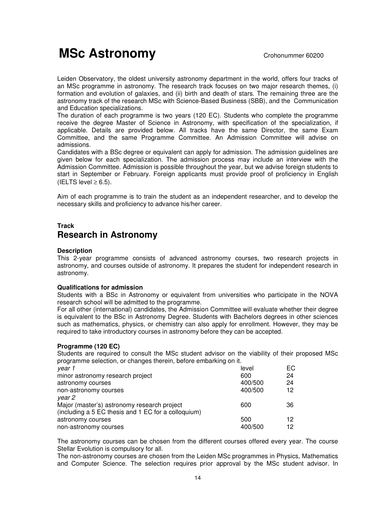# **MSc Astronomy** Crohonummer 60200

Leiden Observatory, the oldest university astronomy department in the world, offers four tracks of an MSc programme in astronomy. The research track focuses on two major research themes, (i) formation and evolution of galaxies, and (ii) birth and death of stars. The remaining three are the astronomy track of the research MSc with Science-Based Business (SBB), and the Communication and Education specializations.

The duration of each programme is two years (120 EC). Students who complete the programme receive the degree Master of Science in Astronomy, with specification of the specialization, if applicable. Details are provided below. All tracks have the same Director, the same Exam Committee, and the same Programme Committee. An Admission Committee will advise on admissions.

Candidates with a BSc degree or equivalent can apply for admission. The admission guidelines are given below for each specialization. The admission process may include an interview with the Admission Committee. Admission is possible throughout the year, but we advise foreign students to start in September or February. Foreign applicants must provide proof of proficiency in English (IELTS level  $\geq 6.5$ ).

Aim of each programme is to train the student as an independent researcher, and to develop the necessary skills and proficiency to advance his/her career.

## **Track Research in Astronomy**

### **Description**

This 2-year programme consists of advanced astronomy courses, two research projects in astronomy, and courses outside of astronomy. It prepares the student for independent research in astronomy.

#### **Qualifications for admission**

Students with a BSc in Astronomy or equivalent from universities who participate in the NOVA research school will be admitted to the programme.

For all other (international) candidates, the Admission Committee will evaluate whether their degree is equivalent to the BSc in Astronomy Degree. Students with Bachelors degrees in other sciences such as mathematics, physics, or chemistry can also apply for enrollment. However, they may be required to take introductory courses in astronomy before they can be accepted.

#### **Programme (120 EC)**

Students are required to consult the MSc student advisor on the viability of their proposed MSc programme selection, or changes therein, before embarking on it.

| year 1                                              | level   | ЕC |
|-----------------------------------------------------|---------|----|
| minor astronomy research project                    | 600     | 24 |
| astronomy courses                                   | 400/500 | 24 |
| non-astronomy courses                               | 400/500 | 12 |
| vear 2                                              |         |    |
| Major (master's) astronomy research project         | 600     | 36 |
| (including a 5 EC thesis and 1 EC for a colloquium) |         |    |
| astronomy courses                                   | 500     | 12 |
| non-astronomy courses                               | 400/500 | 12 |

The astronomy courses can be chosen from the different courses offered every year. The course Stellar Evolution is compulsory for all.

The non-astronomy courses are chosen from the Leiden MSc programmes in Physics, Mathematics and Computer Science. The selection requires prior approval by the MSc student advisor. In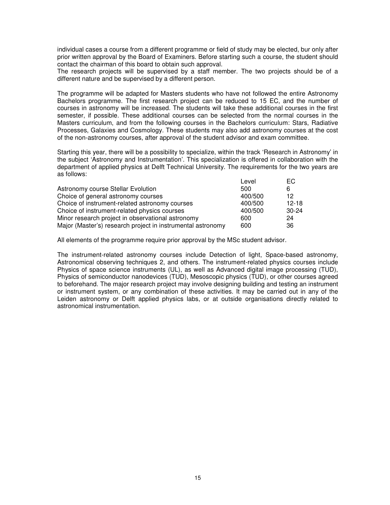individual cases a course from a different programme or field of study may be elected, bur only after prior written approval by the Board of Examiners. Before starting such a course, the student should contact the chairman of this board to obtain such approval.

The research projects will be supervised by a staff member. The two projects should be of a different nature and be supervised by a different person.

The programme will be adapted for Masters students who have not followed the entire Astronomy Bachelors programme. The first research project can be reduced to 15 EC, and the number of courses in astronomy will be increased. The students will take these additional courses in the first semester, if possible. These additional courses can be selected from the normal courses in the Masters curriculum, and from the following courses in the Bachelors curriculum: Stars, Radiative Processes, Galaxies and Cosmology. These students may also add astronomy courses at the cost of the non-astronomy courses, after approval of the student advisor and exam committee.

Starting this year, there will be a possibility to specialize, within the track 'Research in Astronomy' in the subject 'Astronomy and Instrumentation'. This specialization is offered in collaboration with the department of applied physics at Delft Technical University. The requirements for the two years are as follows:

|                                                             | Level   | EC.     |
|-------------------------------------------------------------|---------|---------|
| Astronomy course Stellar Evolution                          | 500     | 6       |
| Choice of general astronomy courses                         | 400/500 | 12      |
| Choice of instrument-related astronomy courses              | 400/500 | $12-18$ |
| Choice of instrument-related physics courses                | 400/500 | 30-24   |
| Minor research project in observational astronomy           | 600     | 24      |
| Major (Master's) research project in instrumental astronomy | 600     | 36      |

All elements of the programme require prior approval by the MSc student advisor.

The instrument-related astronomy courses include Detection of light, Space-based astronomy, Astronomical observing techniques 2, and others. The instrument-related physics courses include Physics of space science instruments (UL), as well as Advanced digital image processing (TUD), Physics of semiconductor nanodevices (TUD), Mesoscopic physics (TUD), or other courses agreed to beforehand. The major research project may involve designing building and testing an instrument or instrument system, or any combination of these activities. It may be carried out in any of the Leiden astronomy or Delft applied physics labs, or at outside organisations directly related to astronomical instrumentation.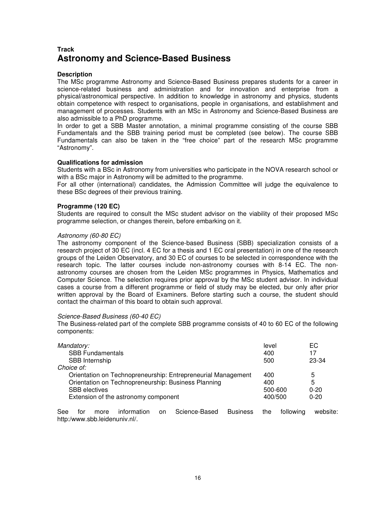# **Track Astronomy and Science-Based Business**

#### **Description**

The MSc programme Astronomy and Science-Based Business prepares students for a career in science-related business and administration and for innovation and enterprise from a physical/astronomical perspective. In addition to knowledge in astronomy and physics, students obtain competence with respect to organisations, people in organisations, and establishment and management of processes. Students with an MSc in Astronomy and Science-Based Business are also admissible to a PhD programme.

In order to get a SBB Master annotation, a minimal programme consisting of the course SBB Fundamentals and the SBB training period must be completed (see below). The course SBB Fundamentals can also be taken in the "free choice" part of the research MSc programme "Astronomy".

#### **Qualifications for admission**

Students with a BSc in Astronomy from universities who participate in the NOVA research school or with a BSc major in Astronomy will be admitted to the programme.

For all other (international) candidates, the Admission Committee will judge the equivalence to these BSc degrees of their previous training.

#### **Programme (120 EC)**

Students are required to consult the MSc student advisor on the viability of their proposed MSc programme selection, or changes therein, before embarking on it.

#### Astronomy (60-80 EC)

The astronomy component of the Science-based Business (SBB) specialization consists of a research project of 30 EC (incl. 4 EC for a thesis and 1 EC oral presentation) in one of the research groups of the Leiden Observatory, and 30 EC of courses to be selected in correspondence with the research topic. The latter courses include non-astronomy courses with 8-14 EC. The nonastronomy courses are chosen from the Leiden MSc programmes in Physics, Mathematics and Computer Science. The selection requires prior approval by the MSc student advisor. In individual cases a course from a different programme or field of study may be elected, bur only after prior written approval by the Board of Examiners. Before starting such a course, the student should contact the chairman of this board to obtain such approval.

#### Science-Based Business (60-40 EC)

The Business-related part of the complete SBB programme consists of 40 to 60 EC of the following components:

| Mandatory:<br><b>SBB Fundamentals</b>                        | level<br>400 | EC.<br>17 |
|--------------------------------------------------------------|--------------|-----------|
| SBB Internship                                               | 500          | 23-34     |
| Choice of:                                                   |              |           |
| Orientation on Technopreneurship: Entrepreneurial Management | 400          | 5         |
| Orientation on Technopreneurship: Business Planning          | 400          | 5         |
| <b>SBB</b> electives                                         | 500-600      | $0 - 20$  |
| Extension of the astronomy component                         | 400/500      | $0 - 20$  |

See for more information on Science-Based Business the following website: http:/www.sbb.leidenuniv.nl/.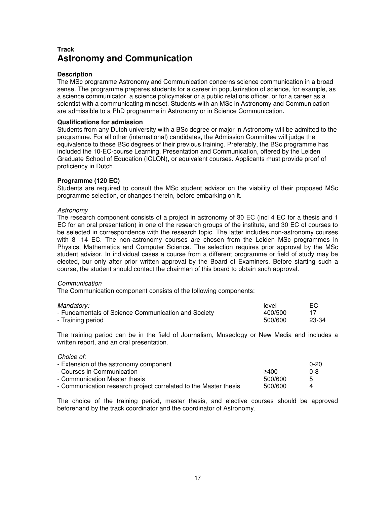# **Track Astronomy and Communication**

#### **Description**

The MSc programme Astronomy and Communication concerns science communication in a broad sense. The programme prepares students for a career in popularization of science, for example, as a science communicator, a science policymaker or a public relations officer, or for a career as a scientist with a communicating mindset. Students with an MSc in Astronomy and Communication are admissible to a PhD programme in Astronomy or in Science Communication.

#### **Qualifications for admission**

Students from any Dutch university with a BSc degree or major in Astronomy will be admitted to the programme. For all other (international) candidates, the Admission Committee will judge the equivalence to these BSc degrees of their previous training. Preferably, the BSc programme has included the 10-EC-course Learning, Presentation and Communication, offered by the Leiden Graduate School of Education (ICLON), or equivalent courses. Applicants must provide proof of proficiency in Dutch.

#### **Programme (120 EC)**

Students are required to consult the MSc student advisor on the viability of their proposed MSc programme selection, or changes therein, before embarking on it.

#### Astronomy

The research component consists of a project in astronomy of 30 EC (incl 4 EC for a thesis and 1 EC for an oral presentation) in one of the research groups of the institute, and 30 EC of courses to be selected in correspondence with the research topic. The latter includes non-astronomy courses with 8 -14 EC. The non-astronomy courses are chosen from the Leiden MSc programmes in Physics, Mathematics and Computer Science. The selection requires prior approval by the MSc student advisor. In individual cases a course from a different programme or field of study may be elected, bur only after prior written approval by the Board of Examiners. Before starting such a course, the student should contact the chairman of this board to obtain such approval.

#### **Communication**

The Communication component consists of the following components:

| Mandatory:                                          | level   | EC    |
|-----------------------------------------------------|---------|-------|
| - Fundamentals of Science Communication and Society | 400/500 |       |
| - Training period                                   | 500/600 | 23-34 |

The training period can be in the field of Journalism, Museology or New Media and includes a written report, and an oral presentation.

#### Choice of:

| - Extension of the astronomy component                           |          | $0 - 20$ |
|------------------------------------------------------------------|----------|----------|
| - Courses in Communication                                       | 2400     | 0-8      |
| - Communication Master thesis                                    | .500/600 | 5        |
| - Communication research project correlated to the Master thesis | 500/600  |          |

The choice of the training period, master thesis, and elective courses should be approved beforehand by the track coordinator and the coordinator of Astronomy.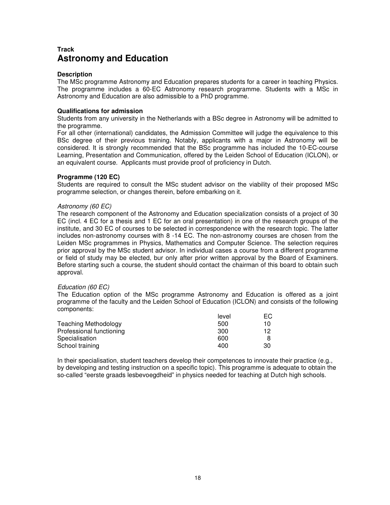# **Track Astronomy and Education**

#### **Description**

The MSc programme Astronomy and Education prepares students for a career in teaching Physics. The programme includes a 60-EC Astronomy research programme. Students with a MSc in Astronomy and Education are also admissible to a PhD programme.

#### **Qualifications for admission**

Students from any university in the Netherlands with a BSc degree in Astronomy will be admitted to the programme.

For all other (international) candidates, the Admission Committee will judge the equivalence to this BSc degree of their previous training. Notably, applicants with a major in Astronomy will be considered. It is strongly recommended that the BSc programme has included the 10-EC-course Learning, Presentation and Communication, offered by the Leiden School of Education (ICLON), or an equivalent course. Applicants must provide proof of proficiency in Dutch.

### **Programme (120 EC)**

Students are required to consult the MSc student advisor on the viability of their proposed MSc programme selection, or changes therein, before embarking on it.

#### Astronomy (60 EC)

The research component of the Astronomy and Education specialization consists of a project of 30 EC (incl. 4 EC for a thesis and 1 EC for an oral presentation) in one of the research groups of the institute, and 30 EC of courses to be selected in correspondence with the research topic. The latter includes non-astronomy courses with 8 -14 EC. The non-astronomy courses are chosen from the Leiden MSc programmes in Physics, Mathematics and Computer Science. The selection requires prior approval by the MSc student advisor. In individual cases a course from a different programme or field of study may be elected, bur only after prior written approval by the Board of Examiners. Before starting such a course, the student should contact the chairman of this board to obtain such approval.

#### Education (60 EC)

The Education option of the MSc programme Astronomy and Education is offered as a joint programme of the faculty and the Leiden School of Education (ICLON) and consists of the following components:

|                             | level | EG. |
|-----------------------------|-------|-----|
| <b>Teaching Methodology</b> | 500   | 10  |
| Professional functioning    | 300   | 12  |
| Specialisation              | 600   |     |
| School training             | 400   | 30  |

In their specialisation, student teachers develop their competences to innovate their practice (e.g., by developing and testing instruction on a specific topic). This programme is adequate to obtain the so-called "eerste graads lesbevoegdheid" in physics needed for teaching at Dutch high schools.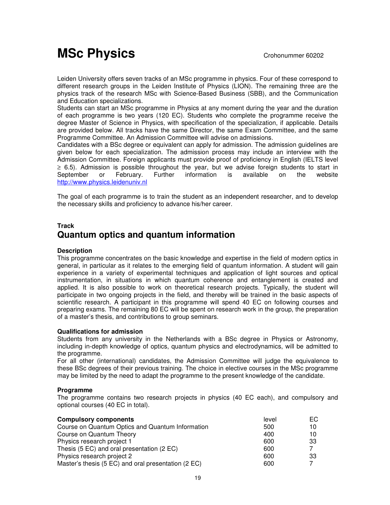# **MSc Physics** Crohonummer 60202

Leiden University offers seven tracks of an MSc programme in physics. Four of these correspond to different research groups in the Leiden Institute of Physics (LION). The remaining three are the physics track of the research MSc with Science-Based Business (SBB), and the Communication and Education specializations.

Students can start an MSc programme in Physics at any moment during the year and the duration of each programme is two years (120 EC). Students who complete the programme receive the degree Master of Science in Physics, with specification of the specialization, if applicable. Details are provided below. All tracks have the same Director, the same Exam Committee, and the same Programme Committee. An Admission Committee will advise on admissions.

Candidates with a BSc degree or equivalent can apply for admission. The admission guidelines are given below for each specialization. The admission process may include an interview with the Admission Committee. Foreign applicants must provide proof of proficiency in English (IELTS level ≥ 6.5). Admission is possible throughout the year, but we advise foreign students to start in September or February. Further information is available on the website http://www.physics.leidenuniv.nl

The goal of each programme is to train the student as an independent researcher, and to develop the necessary skills and proficiency to advance his/her career.

## **Track Quantum optics and quantum information**

## **Description**

This programme concentrates on the basic knowledge and expertise in the field of modern optics in general, in particular as it relates to the emerging field of quantum information. A student will gain experience in a variety of experimental techniques and application of light sources and optical instrumentation, in situations in which quantum coherence and entanglement is created and applied. It is also possible to work on theoretical research projects. Typically, the student will participate in two ongoing projects in the field, and thereby will be trained in the basic aspects of scientific research. A participant in this programme will spend 40 EC on following courses and preparing exams. The remaining 80 EC will be spent on research work in the group, the preparation of a master's thesis, and contributions to group seminars.

#### **Qualifications for admission**

Students from any university in the Netherlands with a BSc degree in Physics or Astronomy, including in-depth knowledge of optics, quantum physics and electrodynamics, will be admitted to the programme.

For all other (international) candidates, the Admission Committee will judge the equivalence to these BSc degrees of their previous training. The choice in elective courses in the MSc programme may be limited by the need to adapt the programme to the present knowledge of the candidate.

#### **Programme**

The programme contains two research projects in physics (40 EC each), and compulsory and optional courses (40 EC in total).

| <b>Compulsory components</b>                        | level | EC. |
|-----------------------------------------------------|-------|-----|
| Course on Quantum Optics and Quantum Information    | 500   | 10  |
| Course on Quantum Theory                            | 400   | 10  |
| Physics research project 1                          | 600   | 33  |
| Thesis (5 EC) and oral presentation (2 EC)          | 600   |     |
| Physics research project 2                          | 600   | 33  |
| Master's thesis (5 EC) and oral presentation (2 EC) | 600   |     |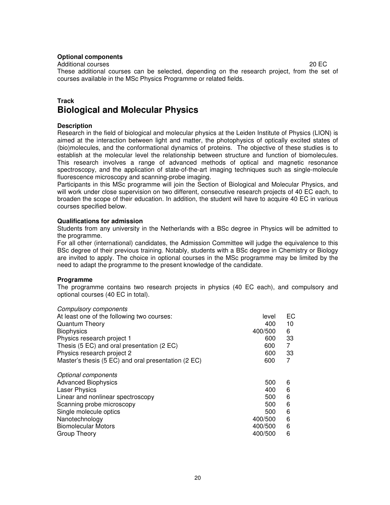#### **Optional components**

Additional courses 20 EC

These additional courses can be selected, depending on the research project, from the set of courses available in the MSc Physics Programme or related fields.

## **Track Biological and Molecular Physics**

#### **Description**

Research in the field of biological and molecular physics at the Leiden Institute of Physics (LION) is aimed at the interaction between light and matter, the photophysics of optically excited states of (bio)molecules, and the conformational dynamics of proteins. The objective of these studies is to establish at the molecular level the relationship between structure and function of biomolecules. This research involves a range of advanced methods of optical and magnetic resonance spectroscopy, and the application of state-of-the-art imaging techniques such as single-molecule fluorescence microscopy and scanning-probe imaging.

Participants in this MSc programme will join the Section of Biological and Molecular Physics, and will work under close supervision on two different, consecutive research projects of 40 EC each, to broaden the scope of their education. In addition, the student will have to acquire 40 EC in various courses specified below.

#### **Qualifications for admission**

Students from any university in the Netherlands with a BSc degree in Physics will be admitted to the programme.

For all other (international) candidates, the Admission Committee will judge the equivalence to this BSc degree of their previous training. Notably, students with a BSc degree in Chemistry or Biology are invited to apply. The choice in optional courses in the MSc programme may be limited by the need to adapt the programme to the present knowledge of the candidate.

#### **Programme**

The programme contains two research projects in physics (40 EC each), and compulsory and optional courses (40 EC in total).

| <b>Compulsory components</b>                        |         |    |
|-----------------------------------------------------|---------|----|
| At least one of the following two courses:          | level   | EC |
| <b>Quantum Theory</b>                               | 400     | 10 |
| <b>Biophysics</b>                                   | 400/500 | 6  |
| Physics research project 1                          | 600     | 33 |
| Thesis (5 EC) and oral presentation (2 EC)          | 600     | 7  |
| Physics research project 2                          | 600     | 33 |
| Master's thesis (5 EC) and oral presentation (2 EC) | 600     | 7  |
| Optional components                                 |         |    |
| <b>Advanced Biophysics</b>                          | 500     | 6  |
| <b>Laser Physics</b>                                | 400     | 6  |
| Linear and nonlinear spectroscopy                   | 500     | 6  |
| Scanning probe microscopy                           | 500     | 6  |
| Single molecule optics                              | 500     | 6  |
| Nanotechnology                                      | 400/500 | 6  |
| <b>Biomolecular Motors</b>                          | 400/500 | 6  |
| Group Theory                                        | 400/500 | 6  |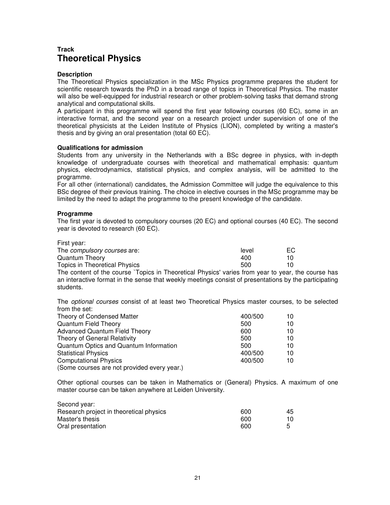## **Track Theoretical Physics**

#### **Description**

The Theoretical Physics specialization in the MSc Physics programme prepares the student for scientific research towards the PhD in a broad range of topics in Theoretical Physics. The master will also be well-equipped for industrial research or other problem-solving tasks that demand strong analytical and computational skills.

A participant in this programme will spend the first year following courses (60 EC), some in an interactive format, and the second year on a research project under supervision of one of the theoretical physicists at the Leiden Institute of Physics (LION), completed by writing a master's thesis and by giving an oral presentation (total 60 EC).

#### **Qualifications for admission**

Students from any university in the Netherlands with a BSc degree in physics, with in-depth knowledge of undergraduate courses with theoretical and mathematical emphasis: quantum physics, electrodynamics, statistical physics, and complex analysis, will be admitted to the programme.

For all other (international) candidates, the Admission Committee will judge the equivalence to this BSc degree of their previous training. The choice in elective courses in the MSc programme may be limited by the need to adapt the programme to the present knowledge of the candidate.

#### **Programme**

The first year is devoted to compulsory courses (20 EC) and optional courses (40 EC). The second year is devoted to research (60 EC).

| First year:                                                                             |       |    |
|-----------------------------------------------------------------------------------------|-------|----|
| The <i>compulsory courses</i> are:                                                      | level | EС |
| Quantum Theory                                                                          | 400   | 10 |
| Topics in Theoretical Physics                                                           | 500   | 10 |
| The content of the course `Topics in Theoretical Physics' varies from year to year, the |       |    |

he course has an interactive format in the sense that weekly meetings consist of presentations by the participating students.

The optional courses consist of at least two Theoretical Physics master courses, to be selected from the set:

| Theory of Condensed Matter                  | 400/500 | 10 |
|---------------------------------------------|---------|----|
| <b>Quantum Field Theory</b>                 | 500     | 10 |
| <b>Advanced Quantum Field Theory</b>        | 600     | 10 |
| Theory of General Relativity                | 500     | 10 |
| Quantum Optics and Quantum Information      | 500     | 10 |
| <b>Statistical Physics</b>                  | 400/500 | 10 |
| <b>Computational Physics</b>                | 400/500 | 10 |
| (Some courses are not provided every year.) |         |    |

Other optional courses can be taken in Mathematics or (General) Physics. A maximum of one master course can be taken anywhere at Leiden University.

| Second year:                            |     |     |
|-----------------------------------------|-----|-----|
| Research project in theoretical physics | 600 | 45. |
| Master's thesis                         | 600 | 10. |
| Oral presentation                       | 600 | ᄃ   |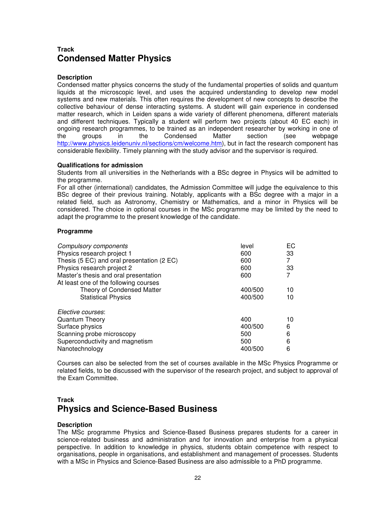# **Track Condensed Matter Physics**

### **Description**

Condensed matter physics concerns the study of the fundamental properties of solids and quantum liquids at the microscopic level, and uses the acquired understanding to develop new model systems and new materials. This often requires the development of new concepts to describe the collective behaviour of dense interacting systems. A student will gain experience in condensed matter research, which in Leiden spans a wide variety of different phenomena, different materials and different techniques. Typically a student will perform two projects (about 40 EC each) in ongoing research programmes, to be trained as an independent researcher by working in one of the groups in the Condensed Matter section (see webpage http://www.physics.leidenuniv.nl/sections/cm/welcome.htm), but in fact the research component has considerable flexibility. Timely planning with the study advisor and the supervisor is required.

#### **Qualifications for admission**

Students from all universities in the Netherlands with a BSc degree in Physics will be admitted to the programme.

For all other (international) candidates, the Admission Committee will judge the equivalence to this BSc degree of their previous training. Notably, applicants with a BSc degree with a major in a related field, such as Astronomy, Chemistry or Mathematics, and a minor in Physics will be considered. The choice in optional courses in the MSc programme may be limited by the need to adapt the programme to the present knowledge of the candidate.

#### **Programme**

| <b>Compulsory components</b>               | level   | ЕC |
|--------------------------------------------|---------|----|
| Physics research project 1                 | 600     | 33 |
| Thesis (5 EC) and oral presentation (2 EC) | 600     | 7  |
| Physics research project 2                 | 600     | 33 |
| Master's thesis and oral presentation      | 600     |    |
| At least one of the following courses      |         |    |
| Theory of Condensed Matter                 | 400/500 | 10 |
| <b>Statistical Physics</b>                 | 400/500 | 10 |
| Elective courses:                          |         |    |
| Quantum Theory                             | 400     | 10 |
| Surface physics                            | 400/500 | 6  |
| Scanning probe microscopy                  | 500     | 6  |
| Superconductivity and magnetism            | 500     | 6  |
| Nanotechnology                             | 400/500 | 6  |

Courses can also be selected from the set of courses available in the MSc Physics Programme or related fields, to be discussed with the supervisor of the research project, and subject to approval of the Exam Committee.

## **Track Physics and Science-Based Business**

## **Description**

The MSc programme Physics and Science-Based Business prepares students for a career in science-related business and administration and for innovation and enterprise from a physical perspective. In addition to knowledge in physics, students obtain competence with respect to organisations, people in organisations, and establishment and management of processes. Students with a MSc in Physics and Science-Based Business are also admissible to a PhD programme.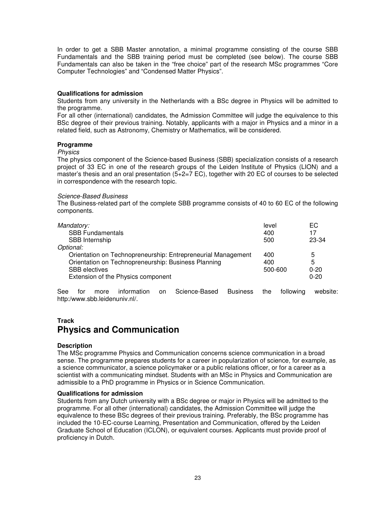In order to get a SBB Master annotation, a minimal programme consisting of the course SBB Fundamentals and the SBB training period must be completed (see below). The course SBB Fundamentals can also be taken in the "free choice" part of the research MSc programmes "Core Computer Technologies" and "Condensed Matter Physics".

#### **Qualifications for admission**

Students from any university in the Netherlands with a BSc degree in Physics will be admitted to the programme.

For all other (international) candidates, the Admission Committee will judge the equivalence to this BSc degree of their previous training. Notably, applicants with a major in Physics and a minor in a related field, such as Astronomy, Chemistry or Mathematics, will be considered.

#### **Programme**

#### Physics

The physics component of the Science-based Business (SBB) specialization consists of a research project of 33 EC in one of the research groups of the Leiden Institute of Physics (LION) and a master's thesis and an oral presentation (5+2=7 EC), together with 20 EC of courses to be selected in correspondence with the research topic.

#### Science-Based Business

The Business-related part of the complete SBB programme consists of 40 to 60 EC of the following components.

| Mandatory:                                                   | level   | EС       |
|--------------------------------------------------------------|---------|----------|
| <b>SBB Fundamentals</b>                                      | 400     | 17       |
| SBB Internship                                               | 500     | 23-34    |
| Optional:                                                    |         |          |
| Orientation on Technopreneurship: Entrepreneurial Management | 400     | 5        |
| Orientation on Technopreneurship: Business Planning          | 400     | 5        |
| <b>SBB</b> electives                                         | 500-600 | $0 - 20$ |
| Extension of the Physics component                           |         | $0 - 20$ |
|                                                              |         |          |

See for more information on Science-Based Business the following website: http:/www.sbb.leidenuniv.nl/.

## **Track Physics and Communication**

#### **Description**

The MSc programme Physics and Communication concerns science communication in a broad sense. The programme prepares students for a career in popularization of science, for example, as a science communicator, a science policymaker or a public relations officer, or for a career as a scientist with a communicating mindset. Students with an MSc in Physics and Communication are admissible to a PhD programme in Physics or in Science Communication.

#### **Qualifications for admission**

Students from any Dutch university with a BSc degree or major in Physics will be admitted to the programme. For all other (international) candidates, the Admission Committee will judge the equivalence to these BSc degrees of their previous training. Preferably, the BSc programme has included the 10-EC-course Learning, Presentation and Communication, offered by the Leiden Graduate School of Education (ICLON), or equivalent courses. Applicants must provide proof of proficiency in Dutch.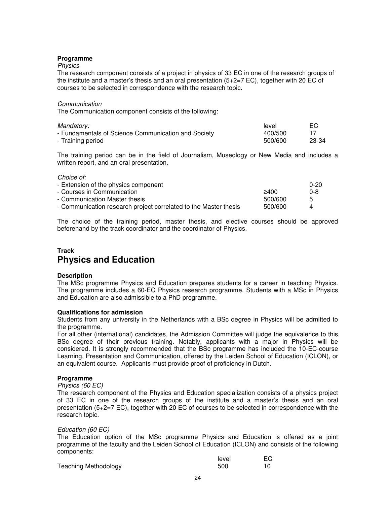#### **Programme**

#### Physics

The research component consists of a project in physics of 33 EC in one of the research groups of the institute and a master's thesis and an oral presentation (5+2=7 EC), together with 20 EC of courses to be selected in correspondence with the research topic.

#### Communication

The Communication component consists of the following:

| Mandatory:                                          | level   | EC.   |
|-----------------------------------------------------|---------|-------|
| - Fundamentals of Science Communication and Society | 400/500 |       |
| - Training period                                   | 500/600 | 23-34 |

The training period can be in the field of Journalism, Museology or New Media and includes a written report, and an oral presentation.

#### Choice of:

| - Extension of the physics component                             |         | $0 - 20$ |
|------------------------------------------------------------------|---------|----------|
| - Courses in Communication                                       | 2400    | 0-8      |
| - Communication Master thesis                                    | 500/600 | 5        |
| - Communication research project correlated to the Master thesis | 500/600 |          |

The choice of the training period, master thesis, and elective courses should be approved beforehand by the track coordinator and the coordinator of Physics.

## **Track Physics and Education**

#### **Description**

The MSc programme Physics and Education prepares students for a career in teaching Physics. The programme includes a 60-EC Physics research programme. Students with a MSc in Physics and Education are also admissible to a PhD programme.

#### **Qualifications for admission**

Students from any university in the Netherlands with a BSc degree in Physics will be admitted to the programme.

For all other (international) candidates, the Admission Committee will judge the equivalence to this BSc degree of their previous training. Notably, applicants with a major in Physics will be considered. It is strongly recommended that the BSc programme has included the 10-EC-course Learning, Presentation and Communication, offered by the Leiden School of Education (ICLON), or an equivalent course. Applicants must provide proof of proficiency in Dutch.

#### **Programme**

#### Physics (60 EC)

The research component of the Physics and Education specialization consists of a physics project of 33 EC in one of the research groups of the institute and a master's thesis and an oral presentation (5+2=7 EC), together with 20 EC of courses to be selected in correspondence with the research topic.

#### Education (60 EC)

The Education option of the MSc programme Physics and Education is offered as a joint programme of the faculty and the Leiden School of Education (ICLON) and consists of the following components:

|                             | level |  |
|-----------------------------|-------|--|
| <b>Teaching Methodology</b> | 500   |  |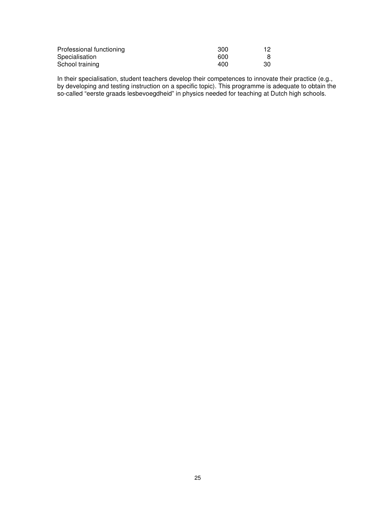| Professional functioning | 300 |    |
|--------------------------|-----|----|
| Specialisation           | 600 |    |
| School training          | 400 | 30 |

In their specialisation, student teachers develop their competences to innovate their practice (e.g., by developing and testing instruction on a specific topic). This programme is adequate to obtain the so-called "eerste graads lesbevoegdheid" in physics needed for teaching at Dutch high schools.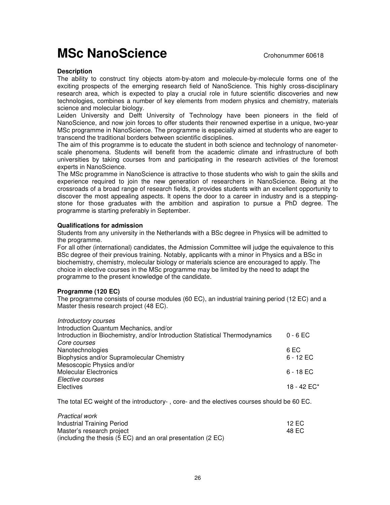# **MSc NanoScience** Crohonummer 60618

### **Description**

The ability to construct tiny objects atom-by-atom and molecule-by-molecule forms one of the exciting prospects of the emerging research field of NanoScience. This highly cross-disciplinary research area, which is expected to play a crucial role in future scientific discoveries and new technologies, combines a number of key elements from modern physics and chemistry, materials science and molecular biology.

Leiden University and Delft University of Technology have been pioneers in the field of NanoScience, and now join forces to offer students their renowned expertise in a unique, two-year MSc programme in NanoScience. The programme is especially aimed at students who are eager to transcend the traditional borders between scientific disciplines.

The aim of this programme is to educate the student in both science and technology of nanometerscale phenomena. Students will benefit from the academic climate and infrastructure of both universities by taking courses from and participating in the research activities of the foremost experts in NanoScience.

The MSc programme in NanoScience is attractive to those students who wish to gain the skills and experience required to join the new generation of researchers in NanoScience. Being at the crossroads of a broad range of research fields, it provides students with an excellent opportunity to discover the most appealing aspects. It opens the door to a career in industry and is a steppingstone for those graduates with the ambition and aspiration to pursue a PhD degree. The programme is starting preferably in September.

#### **Qualifications for admission**

Students from any university in the Netherlands with a BSc degree in Physics will be admitted to the programme.

For all other (international) candidates, the Admission Committee will judge the equivalence to this BSc degree of their previous training. Notably, applicants with a minor in Physics and a BSc in biochemistry, chemistry, molecular biology or materials science are encouraged to apply. The choice in elective courses in the MSc programme may be limited by the need to adapt the programme to the present knowledge of the candidate.

## **Programme (120 EC)**

The programme consists of course modules (60 EC), an industrial training period (12 EC) and a Master thesis research project (48 EC).

#### Introductory courses

 $\blacksquare$  provided work works

| Introduction Quantum Mechanics, and/or                                       |                |
|------------------------------------------------------------------------------|----------------|
| Introduction in Biochemistry, and/or Introduction Statistical Thermodynamics | $0 - 6$ EC     |
| Core courses                                                                 |                |
| Nanotechnologies                                                             | 6 EC           |
| Biophysics and/or Supramolecular Chemistry                                   | $6 - 12$ EC    |
| Mesoscopic Physics and/or                                                    |                |
| <b>Molecular Electronics</b>                                                 | $6 - 18$ EC    |
| Elective courses                                                             |                |
| Electives                                                                    | 18 - 42 $EC^*$ |

The total EC weight of the introductory- , core- and the electives courses should be 60 EC.

| Practical work                                                                     |         |
|------------------------------------------------------------------------------------|---------|
| Industrial Training Period                                                         | 12 EC 1 |
| Master's research project                                                          | 48 EC   |
| (including the thesis $(5 \text{ EC})$ and an oral presentation $(2 \text{ EC})$ ) |         |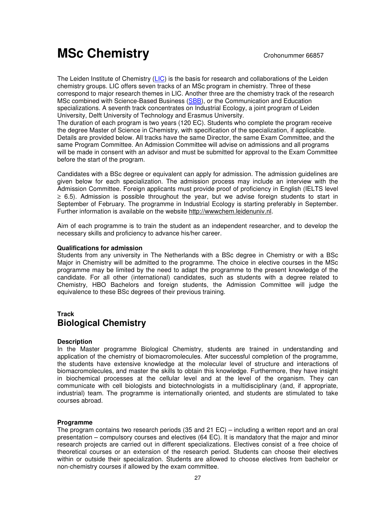# **MSc Chemistry** Crohonummer 66857

The Leiden Institute of Chemistry (LIC) is the basis for research and collaborations of the Leiden chemistry groups. LIC offers seven tracks of an MSc program in chemistry. Three of these correspond to major research themes in LIC. Another three are the chemistry track of the research MSc combined with Science-Based Business (SBB), or the Communication and Education specializations. A seventh track concentrates on Industrial Ecology, a joint program of Leiden University, Delft University of Technology and Erasmus University.

The duration of each program is two years (120 EC). Students who complete the program receive the degree Master of Science in Chemistry, with specification of the specialization, if applicable. Details are provided below. All tracks have the same Director, the same Exam Committee, and the same Program Committee. An Admission Committee will advise on admissions and all programs will be made in consent with an advisor and must be submitted for approval to the Exam Committee before the start of the program.

Candidates with a BSc degree or equivalent can apply for admission. The admission guidelines are given below for each specialization. The admission process may include an interview with the Admission Committee. Foreign applicants must provide proof of proficiency in English (IELTS level ≥ 6.5). Admission is possible throughout the year, but we advise foreign students to start in September of February. The programme in Industrial Ecology is starting preferably in September. Further information is available on the website http://wwwchem.leidenuniv.nl.

Aim of each programme is to train the student as an independent researcher, and to develop the necessary skills and proficiency to advance his/her career.

## **Qualifications for admission**

Students from any university in The Netherlands with a BSc degree in Chemistry or with a BSc Major in Chemistry will be admitted to the programme. The choice in elective courses in the MSc programme may be limited by the need to adapt the programme to the present knowledge of the candidate. For all other (international) candidates, such as students with a degree related to Chemistry, HBO Bachelors and foreign students, the Admission Committee will judge the equivalence to these BSc degrees of their previous training.

# **Track Biological Chemistry**

## **Description**

In the Master programme Biological Chemistry, students are trained in understanding and application of the chemistry of biomacromolecules. After successful completion of the programme, the students have extensive knowledge at the molecular level of structure and interactions of biomacromolecules, and master the skills to obtain this knowledge. Furthermore, they have insight in biochemical processes at the cellular level and at the level of the organism. They can communicate with cell biologists and biotechnologists in a multidisciplinary (and, if appropriate, industrial) team. The programme is internationally oriented, and students are stimulated to take courses abroad.

#### **Programme**

The program contains two research periods (35 and 21 EC) – including a written report and an oral presentation – compulsory courses and electives (64 EC). It is mandatory that the major and minor research projects are carried out in different specializations. Electives consist of a free choice of theoretical courses or an extension of the research period. Students can choose their electives within or outside their specialization. Students are allowed to choose electives from bachelor or non-chemistry courses if allowed by the exam committee.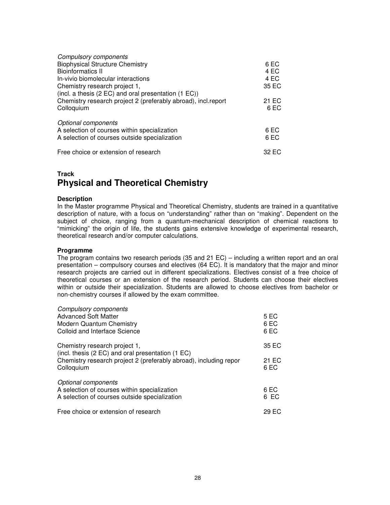| <b>Compulsory components</b>                                  |       |
|---------------------------------------------------------------|-------|
| <b>Biophysical Structure Chemistry</b>                        | 6 EC  |
| <b>Bioinformatics II</b>                                      | 4 EC  |
| In-vivio biomolecular interactions                            | 4 EC  |
| Chemistry research project 1,                                 | 35 EC |
| (incl. a thesis (2 EC) and oral presentation (1 EC))          |       |
| Chemistry research project 2 (preferably abroad), incl.report | 21 EC |
| Colloquium                                                    | 6 EC  |
| Optional components                                           |       |
| A selection of courses within specialization                  | 6 EC  |
| A selection of courses outside specialization                 | 6 EC  |
| Free choice or extension of research                          | 32 EC |

# **Track Physical and Theoretical Chemistry**

#### **Description**

In the Master programme Physical and Theoretical Chemistry, students are trained in a quantitative description of nature, with a focus on "understanding" rather than on "making". Dependent on the subject of choice, ranging from a quantum-mechanical description of chemical reactions to "mimicking" the origin of life, the students gains extensive knowledge of experimental research, theoretical research and/or computer calculations.

#### **Programme**

The program contains two research periods (35 and 21 EC) – including a written report and an oral presentation – compulsory courses and electives (64 EC). It is mandatory that the major and minor research projects are carried out in different specializations. Electives consist of a free choice of theoretical courses or an extension of the research period. Students can choose their electives within or outside their specialization. Students are allowed to choose electives from bachelor or non-chemistry courses if allowed by the exam committee.

| <b>Compulsory components</b><br><b>Advanced Soft Matter</b><br>Modern Quantum Chemistry<br>Colloid and Interface Science             | 5 EC<br>6 EC<br>6 EC |
|--------------------------------------------------------------------------------------------------------------------------------------|----------------------|
| Chemistry research project 1,                                                                                                        | 35 EC                |
| (incl. thesis (2 EC) and oral presentation (1 EC)<br>Chemistry research project 2 (preferably abroad), including repor<br>Colloquium | 21 EC<br>6 EC        |
| Optional components<br>A selection of courses within specialization<br>A selection of courses outside specialization                 | 6 EC<br>6 EC         |
| Free choice or extension of research                                                                                                 | 29 EC                |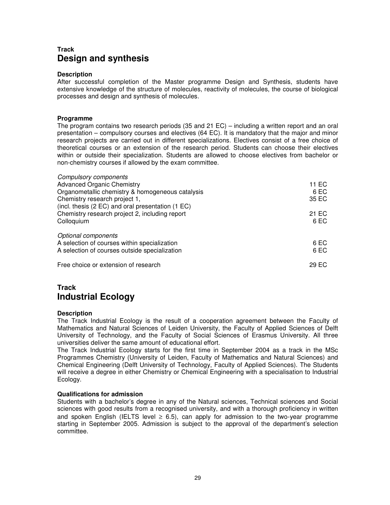# **Track Design and synthesis**

#### **Description**

After successful completion of the Master programme Design and Synthesis, students have extensive knowledge of the structure of molecules, reactivity of molecules, the course of biological processes and design and synthesis of molecules.

#### **Programme**

The program contains two research periods (35 and 21 EC) – including a written report and an oral presentation – compulsory courses and electives (64 EC). It is mandatory that the major and minor research projects are carried out in different specializations. Electives consist of a free choice of theoretical courses or an extension of the research period. Students can choose their electives within or outside their specialization. Students are allowed to choose electives from bachelor or non-chemistry courses if allowed by the exam committee.

| <b>Compulsory components</b>                      |       |
|---------------------------------------------------|-------|
| <b>Advanced Organic Chemistry</b>                 | 11 EC |
| Organometallic chemistry & homogeneous catalysis  | 6 EC  |
| Chemistry research project 1,                     | 35 EC |
| (incl. thesis (2 EC) and oral presentation (1 EC) |       |
| Chemistry research project 2, including report    | 21 EC |
| Colloquium                                        | 6 EC  |
| Optional components                               |       |
| A selection of courses within specialization      | 6 EC  |
| A selection of courses outside specialization     | 6 EC  |
| Free choice or extension of research              | 29 EC |

# **Track Industrial Ecology**

#### **Description**

The Track Industrial Ecology is the result of a cooperation agreement between the Faculty of Mathematics and Natural Sciences of Leiden University, the Faculty of Applied Sciences of Delft University of Technology, and the Faculty of Social Sciences of Erasmus University. All three universities deliver the same amount of educational effort.

The Track Industrial Ecology starts for the first time in September 2004 as a track in the MSc Programmes Chemistry (University of Leiden, Faculty of Mathematics and Natural Sciences) and Chemical Engineering (Delft University of Technology, Faculty of Applied Sciences). The Students will receive a degree in either Chemistry or Chemical Engineering with a specialisation to Industrial Ecology.

#### **Qualifications for admission**

Students with a bachelor's degree in any of the Natural sciences, Technical sciences and Social sciences with good results from a recognised university, and with a thorough proficiency in written and spoken English (IELTS level  $\geq 6.5$ ), can apply for admission to the two-year programme starting in September 2005. Admission is subject to the approval of the department's selection committee.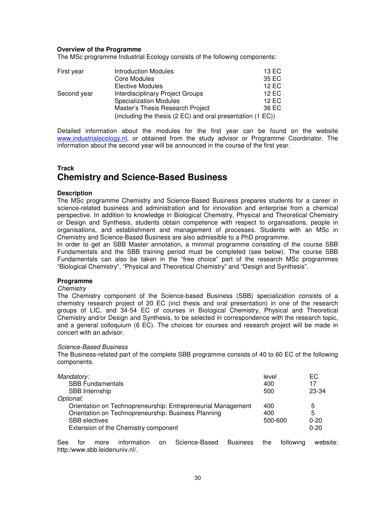#### **Overview of the Programme**

The MSc programme Industrial Ecology consists of the following components:

| First year  | <b>Introduction Modules</b>                                | 13 EC |
|-------------|------------------------------------------------------------|-------|
|             | Core Modules                                               | 35 EC |
|             | <b>Elective Modules</b>                                    | 12 EC |
| Second year | <b>Interdisciplinary Project Groups</b>                    | 12 EC |
|             | <b>Specialization Modules</b>                              | 12 EC |
|             | Master's Thesis Research Project                           | 36 EC |
|             | (including the thesis (2 EC) and oral presentation (1 EC)) |       |

Detailed information about the modules for the first year can be found on the website www.industrialecology.nl, or obtained from the study advisor or Programme Coordinator. The information about the second year will be announced in the course of the first year.

# **Track Chemistry and Science-Based Business**

#### **Description**

The MSc programme Chemistry and Science-Based Business prepares students for a career in science-related business and administration and for innovation and enterprise from a chemical perspective. In addition to knowledge in Biological Chemistry, Physical and Theoretical Chemistry or Design and Synthesis, students obtain competence with respect to organisations, people in organisations, and establishment and management of processes. Students with an MSc in Chemistry and Science-Based Business are also admissible to a PhD programme.

In order to get an SBB Master annotation, a minimal programme consisting of the course SBB Fundamentals and the SBB training period must be completed (see below). The course SBB Fundamentals can also be taken in the "free choice" part of the research MSc programmes "Biological Chemistry", "Physical and Theoretical Chemistry" and "Design and Synthesis".

#### **Programme**

#### **Chemistry**

The Chemistry component of the Science-based Business (SBB) specialization consists of a chemistry research project of 20 EC (incl thesis and oral presentation) in one of the research groups of LIC, and 34-54 EC of courses in Biological Chemistry, Physical and Theoretical Chemistry and/or Design and Synthesis, to be selected in correspondence with the research topic, and a general colloquium (6 EC). The choices for courses and research project will be made in concert with an advisor.

#### Science-Based Business

The Business-related part of the complete SBB programme consists of 40 to 60 EC of the following components.

| Mandatory:                                                   | level   | EС       |
|--------------------------------------------------------------|---------|----------|
| <b>SBB Fundamentals</b>                                      | 400     | 17       |
| SBB Internship                                               | 500     | 23-34    |
| Optional:                                                    |         |          |
| Orientation on Technopreneurship: Entrepreneurial Management | 400     | 5        |
| Orientation on Technopreneurship: Business Planning          | 400     | 5        |
| <b>SBB</b> electives                                         | 500-600 | $0 - 20$ |
| Extension of the Chemistry component                         |         | $0 - 20$ |

See for more information on Science-Based Business the following website: http:/www.sbb.leidenuniv.nl/.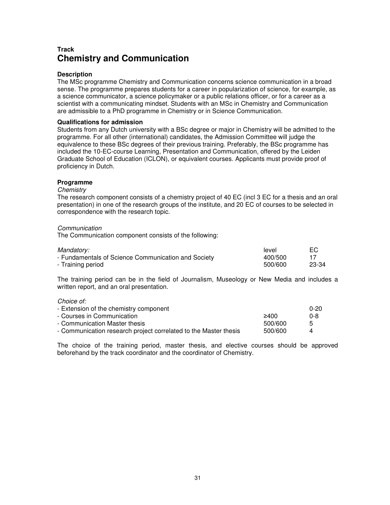# **Track Chemistry and Communication**

#### **Description**

The MSc programme Chemistry and Communication concerns science communication in a broad sense. The programme prepares students for a career in popularization of science, for example, as a science communicator, a science policymaker or a public relations officer, or for a career as a scientist with a communicating mindset. Students with an MSc in Chemistry and Communication are admissible to a PhD programme in Chemistry or in Science Communication.

#### **Qualifications for admission**

Students from any Dutch university with a BSc degree or major in Chemistry will be admitted to the programme. For all other (international) candidates, the Admission Committee will judge the equivalence to these BSc degrees of their previous training. Preferably, the BSc programme has included the 10-EC-course Learning, Presentation and Communication, offered by the Leiden Graduate School of Education (ICLON), or equivalent courses. Applicants must provide proof of proficiency in Dutch.

#### **Programme**

#### **Chemistry**

The research component consists of a chemistry project of 40 EC (incl 3 EC for a thesis and an oral presentation) in one of the research groups of the institute, and 20 EC of courses to be selected in correspondence with the research topic.

#### **Communication**

The Communication component consists of the following:

| Mandatory:                                          | level   | EC.   |
|-----------------------------------------------------|---------|-------|
| - Fundamentals of Science Communication and Society | 400/500 |       |
| - Training period                                   | 500/600 | 23-34 |

The training period can be in the field of Journalism, Museology or New Media and includes a written report, and an oral presentation.

Choice of:

| - Extension of the chemistry component                           |         | $0 - 20$      |
|------------------------------------------------------------------|---------|---------------|
| - Courses in Communication .                                     | 2400    | 0-8           |
| - Communication Master thesis                                    | 500/600 | $\mathcal{L}$ |
| - Communication research project correlated to the Master thesis | 500/600 |               |

The choice of the training period, master thesis, and elective courses should be approved beforehand by the track coordinator and the coordinator of Chemistry.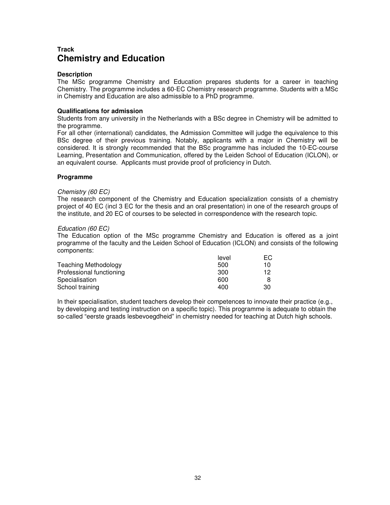## **Track Chemistry and Education**

#### **Description**

The MSc programme Chemistry and Education prepares students for a career in teaching Chemistry. The programme includes a 60-EC Chemistry research programme. Students with a MSc in Chemistry and Education are also admissible to a PhD programme.

#### **Qualifications for admission**

Students from any university in the Netherlands with a BSc degree in Chemistry will be admitted to the programme.

For all other (international) candidates, the Admission Committee will judge the equivalence to this BSc degree of their previous training. Notably, applicants with a major in Chemistry will be considered. It is strongly recommended that the BSc programme has included the 10-EC-course Learning, Presentation and Communication, offered by the Leiden School of Education (ICLON), or an equivalent course. Applicants must provide proof of proficiency in Dutch.

#### **Programme**

#### Chemistry (60 EC)

The research component of the Chemistry and Education specialization consists of a chemistry project of 40 EC (incl 3 EC for the thesis and an oral presentation) in one of the research groups of the institute, and 20 EC of courses to be selected in correspondence with the research topic.

#### Education (60 EC)

The Education option of the MSc programme Chemistry and Education is offered as a joint programme of the faculty and the Leiden School of Education (ICLON) and consists of the following components:

|                             | level | EC. |
|-----------------------------|-------|-----|
| <b>Teaching Methodology</b> | 500   | 10  |
| Professional functioning    | 300   | 12  |
| Specialisation              | 600   |     |
| School training             | 400   | 30  |

In their specialisation, student teachers develop their competences to innovate their practice (e.g., by developing and testing instruction on a specific topic). This programme is adequate to obtain the so-called "eerste graads lesbevoegdheid" in chemistry needed for teaching at Dutch high schools.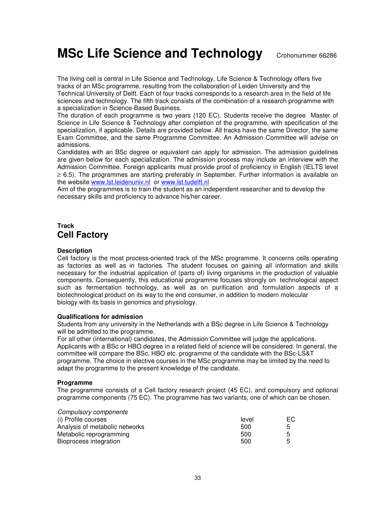**MSc Life Science and Technology** Crohonummer 66286

The living cell is central in Life Science and Technology. Life Science & Technology offers five tracks of an MSc programme, resulting from the collaboration of Leiden University and the Technical University of Delft. Each of four tracks corresponds to a research area in the field of life sciences and technology. The fifth track consists of the combination of a research programme with a specialization in Science-Based Business.

The duration of each programme is two years (120 EC). Students receive the degree Master of Science in Life Science & Technology after completion of the programme, with specification of the specialization, if applicable. Details are provided below. All tracks have the same Director, the same Exam Committee, and the same Programme Committee. An Admission Committee will advise on admissions.

Candidates with an BSc degree or equivalent can apply for admission. The admission guidelines are given below for each specialization. The admission process may include an interview with the Admission Committee. Foreign applicants must provide proof of proficiency in English (IELTS level ≥ 6.5). The programmes are starting preferably in September. Further information is available on the website www.lst.leidenuniv.nl or www.lst.tudelft.nl

Aim of the programmes is to train the student as an independent researcher and to develop the necessary skills and proficiency to advance his/her career.

# **Track Cell Factory**

#### **Description**

Cell factory is the most process-oriented track of the MSc programme. It concerns cells operating as factories as well as in factories. The student focuses on gaining all information and skills necessary for the industrial application of (parts of) living organisms in the production of valuable components. Consequently, this educational programme focuses strongly on technological aspect such as fermentation technology, as well as on purification and formulation aspects of a biotechnological product on its way to the end consumer, in addition to modern molecular biology with its basis in genomics and physiology.

#### **Qualifications for admission**

Students from any university in the Netherlands with a BSc degree in Life Science & Technology will be admitted to the programme.

For all other (international) candidates, the Admission Committee will judge the applications. Applicants with a BSc or HBO degree in a related field of science will be considered. In general, the committee will compare the BSc, HBO etc. programme of the candidate with the BSc-LS&T programme. The choice in elective courses in the MSc programme may be limited by the need to adapt the programme to the present knowledge of the candidate.

#### **Programme**

The programme consists of a Cell factory research project (45 EC), and compulsory and optional programme components (75 EC). The programme has two variants, one of which can be chosen.

| <b>Compulsory components</b>   |       |     |
|--------------------------------|-------|-----|
| (i) Profile courses            | level | EC. |
| Analysis of metabolic networks | 500   | 5   |
| Metabolic reprogramming        | 500   | 5   |
| Bioprocess integration         | 500   | 5   |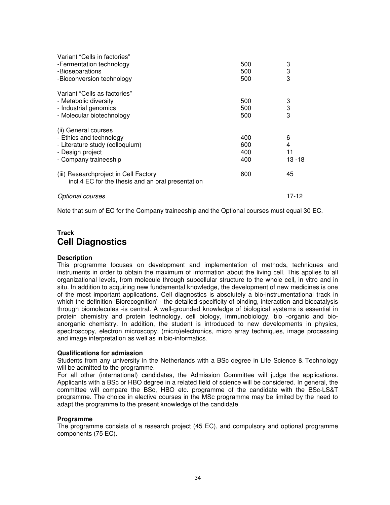| Variant "Cells in factories"                                                               |     |           |
|--------------------------------------------------------------------------------------------|-----|-----------|
| -Fermentation technology                                                                   | 500 | 3         |
| -Bioseparations                                                                            | 500 | 3         |
| -Bioconversion technology                                                                  | 500 | 3         |
| Variant "Cells as factories"                                                               |     |           |
| - Metabolic diversity                                                                      | 500 | 3         |
| - Industrial genomics                                                                      | 500 | 3         |
| - Molecular biotechnology                                                                  | 500 | 3         |
| (ii) General courses                                                                       |     |           |
| - Ethics and technology                                                                    | 400 | 6         |
| - Literature study (colloquium)                                                            | 600 | 4         |
| - Design project                                                                           | 400 | 11        |
| - Company traineeship                                                                      | 400 | $13 - 18$ |
| (iii) Researchproject in Cell Factory<br>incl.4 EC for the thesis and an oral presentation | 600 | 45        |
| Optional courses                                                                           |     | 17-12     |

Note that sum of EC for the Company traineeship and the Optional courses must equal 30 EC.

# **Track Cell Diagnostics**

## **Description**

This programme focuses on development and implementation of methods, techniques and instruments in order to obtain the maximum of information about the living cell. This applies to all organizational levels, from molecule through subcellular structure to the whole cell, in vitro and in situ. In addition to acquiring new fundamental knowledge, the development of new medicines is one of the most important applications. Cell diagnostics is absolutely a bio-instrumentational track in which the definition 'Biorecognition' - the detailed specificity of binding, interaction and biocatalysis through biomolecules -is central. A well-grounded knowledge of biological systems is essential in protein chemistry and protein technology, cell biology, immunobiology, bio -organic and bioanorganic chemistry. In addition, the student is introduced to new developments in physics, spectroscopy, electron microscopy, (micro)electronics, micro array techniques, image processing and image interpretation as well as in bio-informatics.

#### **Qualifications for admission**

Students from any university in the Netherlands with a BSc degree in Life Science & Technology will be admitted to the programme.

For all other (international) candidates, the Admission Committee will judge the applications. Applicants with a BSc or HBO degree in a related field of science will be considered. In general, the committee will compare the BSc, HBO etc. programme of the candidate with the BSc-LS&T programme. The choice in elective courses in the MSc programme may be limited by the need to adapt the programme to the present knowledge of the candidate.

#### **Programme**

The programme consists of a research project (45 EC), and compulsory and optional programme components (75 EC).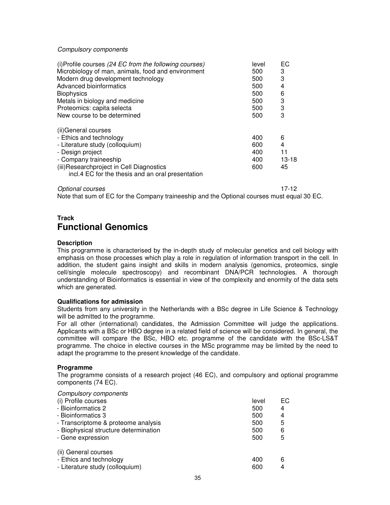#### Compulsory components

| (i) Profile courses (24 EC from the following courses)<br>Microbiology of man, animals, food and environment | level<br>500 | EC<br>3   |
|--------------------------------------------------------------------------------------------------------------|--------------|-----------|
| Modern drug development technology                                                                           | 500          | 3         |
| Advanced bioinformatics                                                                                      | 500          | 4         |
| <b>Biophysics</b>                                                                                            | 500          | 6         |
| Metals in biology and medicine                                                                               | 500          | 3         |
| Proteomics: capita selecta                                                                                   | 500          | 3         |
| New course to be determined                                                                                  | 500          | 3         |
| (ii) General courses                                                                                         |              |           |
| - Ethics and technology                                                                                      | 400          | 6         |
| - Literature study (colloquium)                                                                              | 600          | 4         |
| - Design project                                                                                             | 400          | 11        |
| - Company traineeship                                                                                        | 400          | $13 - 18$ |
| (iii) Researchproject in Cell Diagnostics<br>incl.4 EC for the thesis and an oral presentation               | 600          | 45        |

Optional courses 17-12

Note that sum of EC for the Company traineeship and the Optional courses must equal 30 EC.

## **Track Functional Genomics**

#### **Description**

This programme is characterised by the in-depth study of molecular genetics and cell biology with emphasis on those processes which play a role in regulation of information transport in the cell. In addition, the student gains insight and skills in modern analysis (genomics, proteomics, single cell/single molecule spectroscopy) and recombinant DNA/PCR technologies. A thorough understanding of Bioinformatics is essential in view of the complexity and enormity of the data sets which are generated.

#### **Qualifications for admission**

Students from any university in the Netherlands with a BSc degree in Life Science & Technology will be admitted to the programme.

For all other (international) candidates, the Admission Committee will judge the applications. Applicants with a BSc or HBO degree in a related field of science will be considered. In general, the committee will compare the BSc, HBO etc. programme of the candidate with the BSc-LS&T programme. The choice in elective courses in the MSc programme may be limited by the need to adapt the programme to the present knowledge of the candidate.

#### **Programme**

The programme consists of a research project (46 EC), and compulsory and optional programme components (74 EC).

| <b>Compulsory components</b><br>(i) Profile courses<br>- Bioinformatics 2<br>- Bioinformatics 3<br>- Transcriptome & proteome analysis<br>- Biophysical structure determination<br>- Gene expression | level<br>500<br>500<br>500<br>500<br>500 | EC.<br>4<br>4<br>5<br>6<br>5 |
|------------------------------------------------------------------------------------------------------------------------------------------------------------------------------------------------------|------------------------------------------|------------------------------|
| (ii) General courses<br>- Ethics and technology<br>- Literature study (colloquium)                                                                                                                   | 400<br>600                               | 6<br>4                       |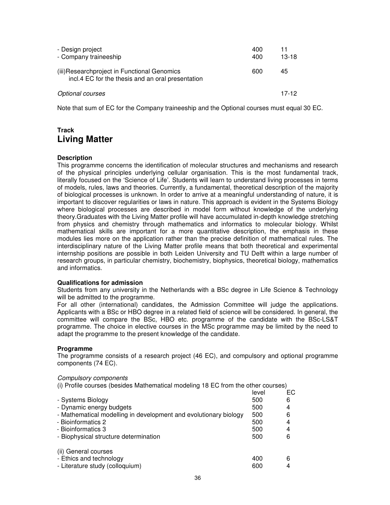| - Design project<br>- Company traineeship                                                         | 400<br>400 | 11<br>$13-18$ |
|---------------------------------------------------------------------------------------------------|------------|---------------|
| (iii) Researchproject in Functional Genomics<br>incl.4 EC for the thesis and an oral presentation | 600        | 45            |
| Optional courses                                                                                  |            | 17-12         |

Note that sum of EC for the Company traineeship and the Optional courses must equal 30 EC.

## **Track Living Matter**

## **Description**

This programme concerns the identification of molecular structures and mechanisms and research of the physical principles underlying cellular organisation. This is the most fundamental track, literally focused on the 'Science of Life'. Students will learn to understand living processes in terms of models, rules, laws and theories. Currently, a fundamental, theoretical description of the majority of biological processes is unknown. In order to arrive at a meaningful understanding of nature, it is important to discover regularities or laws in nature. This approach is evident in the Systems Biology where biological processes are described in model form without knowledge of the underlying theory.Graduates with the Living Matter profile will have accumulated in-depth knowledge stretching from physics and chemistry through mathematics and informatics to molecular biology. Whilst mathematical skills are important for a more quantitative description, the emphasis in these modules lies more on the application rather than the precise definition of mathematical rules. The interdisciplinary nature of the Living Matter profile means that both theoretical and experimental internship positions are possible in both Leiden University and TU Delft within a large number of research groups, in particular chemistry, biochemistry, biophysics, theoretical biology, mathematics and informatics.

## **Qualifications for admission**

Students from any university in the Netherlands with a BSc degree in Life Science & Technology will be admitted to the programme.

For all other (international) candidates, the Admission Committee will judge the applications. Applicants with a BSc or HBO degree in a related field of science will be considered. In general, the committee will compare the BSc, HBO etc. programme of the candidate with the BSc-LS&T programme. The choice in elective courses in the MSc programme may be limited by the need to adapt the programme to the present knowledge of the candidate.

## **Programme**

The programme consists of a research project (46 EC), and compulsory and optional programme components (74 EC).

## Compulsory components

(i) Profile courses (besides Mathematical modeling 18 EC from the other courses)

|                                                                  | level | ЕC |
|------------------------------------------------------------------|-------|----|
| - Systems Biology                                                | 500   | 6  |
| - Dynamic energy budgets                                         | 500   | 4  |
| - Mathematical modelling in development and evolutionary biology | 500   | 6  |
| - Bioinformatics 2                                               | 500   | 4  |
| - Bioinformatics 3                                               | 500   | 4  |
| - Biophysical structure determination                            | 500   | 6  |
| (ii) General courses                                             |       |    |
| - Ethics and technology                                          | 400   | 6  |
| - Literature study (colloquium)                                  | 600   | 4  |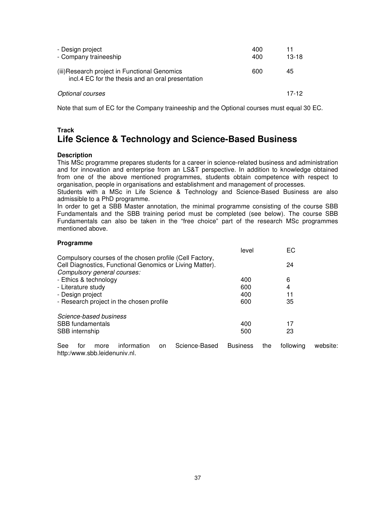| - Design project<br>- Company traineeship                                                          | 400<br>400 | 11<br>$13-18$ |
|----------------------------------------------------------------------------------------------------|------------|---------------|
| (iii) Research project in Functional Genomics<br>incl.4 EC for the thesis and an oral presentation | 600        | 45            |
| Optional courses                                                                                   |            | 17-12         |

Note that sum of EC for the Company traineeship and the Optional courses must equal 30 EC.

## **Track Life Science & Technology and Science-Based Business**

#### **Description**

This MSc programme prepares students for a career in science-related business and administration and for innovation and enterprise from an LS&T perspective. In addition to knowledge obtained from one of the above mentioned programmes, students obtain competence with respect to organisation, people in organisations and establishment and management of processes.

Students with a MSc in Life Science & Technology and Science-Based Business are also admissible to a PhD programme.

In order to get a SBB Master annotation, the minimal programme consisting of the course SBB Fundamentals and the SBB training period must be completed (see below). The course SBB Fundamentals can also be taken in the "free choice" part of the research MSc programmes mentioned above.

| Programme                                                |       |    |
|----------------------------------------------------------|-------|----|
|                                                          | level | EC |
| Compulsory courses of the chosen profile (Cell Factory,  |       |    |
| Cell Diagnostics, Functional Genomics or Living Matter). |       | 24 |
| Compulsory general courses:                              |       |    |
| - Ethics & technology                                    | 400   | 6  |
| - Literature study                                       | 600   | 4  |
| - Design project                                         | 400   | 11 |
| - Research project in the chosen profile                 | 600   | 35 |
| Science-based business                                   |       |    |
| <b>SBB</b> fundamentals                                  | 400   | 17 |
| SBB internship                                           | 500   | 23 |

See for more information on Science-Based Business the following website: http:/www.sbb.leidenuniv.nl.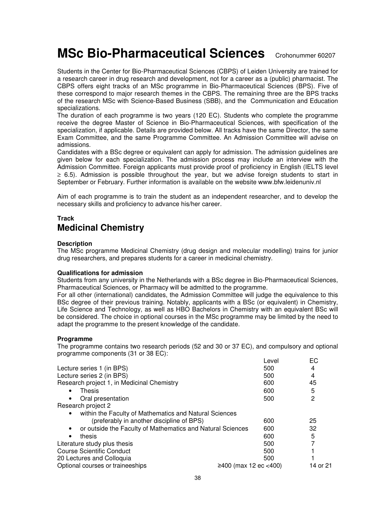# **MSc Bio-Pharmaceutical Sciences** Crohonummer 60207

Students in the Center for Bio-Pharmaceutical Sciences (CBPS) of Leiden University are trained for a research career in drug research and development, not for a career as a (public) pharmacist. The CBPS offers eight tracks of an MSc programme in Bio-Pharmaceutical Sciences (BPS). Five of these correspond to major research themes in the CBPS. The remaining three are the BPS tracks of the research MSc with Science-Based Business (SBB), and the Communication and Education specializations.

The duration of each programme is two years (120 EC). Students who complete the programme receive the degree Master of Science in Bio-Pharmaceutical Sciences, with specification of the specialization, if applicable. Details are provided below. All tracks have the same Director, the same Exam Committee, and the same Programme Committee. An Admission Committee will advise on admissions.

Candidates with a BSc degree or equivalent can apply for admission. The admission guidelines are given below for each specialization. The admission process may include an interview with the Admission Committee. Foreign applicants must provide proof of proficiency in English (IELTS level ≥ 6.5). Admission is possible throughout the year, but we advise foreign students to start in September or February. Further information is available on the website www.bfw.leidenuniv.nl

Aim of each programme is to train the student as an independent researcher, and to develop the necessary skills and proficiency to advance his/her career.

## **Track Medicinal Chemistry**

#### **Description**

The MSc programme Medicinal Chemistry (drug design and molecular modelling) trains for junior drug researchers, and prepares students for a career in medicinal chemistry.

#### **Qualifications for admission**

Students from any university in the Netherlands with a BSc degree in Bio-Pharmaceutical Sciences, Pharmaceutical Sciences, or Pharmacy will be admitted to the programme.

For all other (international) candidates, the Admission Committee will judge the equivalence to this BSc degree of their previous training. Notably, applicants with a BSc (or equivalent) in Chemistry, Life Science and Technology, as well as HBO Bachelors in Chemistry with an equivalent BSc will be considered. The choice in optional courses in the MSc programme may be limited by the need to adapt the programme to the present knowledge of the candidate.

## **Programme**

The programme contains two research periods (52 and 30 or 37 EC), and compulsory and optional programme components (31 or 38 EC):

| Level | EС                    |
|-------|-----------------------|
| 500   | 4                     |
| 500   | 4                     |
| 600   | 45                    |
| 600   | 5                     |
| 500   | 2                     |
|       |                       |
|       |                       |
| 600   | 25                    |
| 600   | 32                    |
| 600   | 5                     |
| 500   |                       |
| 500   |                       |
| 500   |                       |
|       | 14 or 21              |
|       | ≥400 (max 12 ec <400) |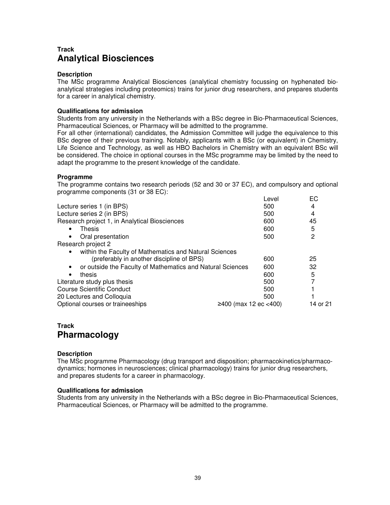# **Track Analytical Biosciences**

### **Description**

The MSc programme Analytical Biosciences (analytical chemistry focussing on hyphenated bioanalytical strategies including proteomics) trains for junior drug researchers, and prepares students for a career in analytical chemistry.

### **Qualifications for admission**

Students from any university in the Netherlands with a BSc degree in Bio-Pharmaceutical Sciences, Pharmaceutical Sciences, or Pharmacy will be admitted to the programme.

For all other (international) candidates, the Admission Committee will judge the equivalence to this BSc degree of their previous training. Notably, applicants with a BSc (or equivalent) in Chemistry, Life Science and Technology, as well as HBO Bachelors in Chemistry with an equivalent BSc will be considered. The choice in optional courses in the MSc programme may be limited by the need to adapt the programme to the present knowledge of the candidate.

#### **Programme**

The programme contains two research periods (52 and 30 or 37 EC), and compulsory and optional programme components (31 or 38 EC):

|                                                            | Level                 | EC       |
|------------------------------------------------------------|-----------------------|----------|
| Lecture series 1 (in BPS)                                  | 500                   | 4        |
| Lecture series 2 (in BPS)                                  | 500                   | 4        |
| Research project 1, in Analytical Biosciences              | 600                   | 45       |
| Thesis<br>$\bullet$                                        | 600                   | 5        |
| Oral presentation<br>$\bullet$                             | 500                   | 2        |
| Research project 2                                         |                       |          |
| within the Faculty of Mathematics and Natural Sciences     |                       |          |
| (preferably in another discipline of BPS)                  | 600                   | 25       |
| or outside the Faculty of Mathematics and Natural Sciences | 600                   | 32       |
| thesis<br>$\bullet$                                        | 600                   | 5        |
| Literature study plus thesis                               | 500                   |          |
| Course Scientific Conduct                                  | 500                   |          |
| 20 Lectures and Colloquia                                  | 500                   |          |
| Optional courses or traineeships                           | ≥400 (max 12 ec <400) | 14 or 21 |
|                                                            |                       |          |

# **Track Pharmacology**

#### **Description**

The MSc programme Pharmacology (drug transport and disposition; pharmacokinetics/pharmacodynamics; hormones in neurosciences; clinical pharmacology) trains for junior drug researchers, and prepares students for a career in pharmacology.

#### **Qualifications for admission**

Students from any university in the Netherlands with a BSc degree in Bio-Pharmaceutical Sciences, Pharmaceutical Sciences, or Pharmacy will be admitted to the programme.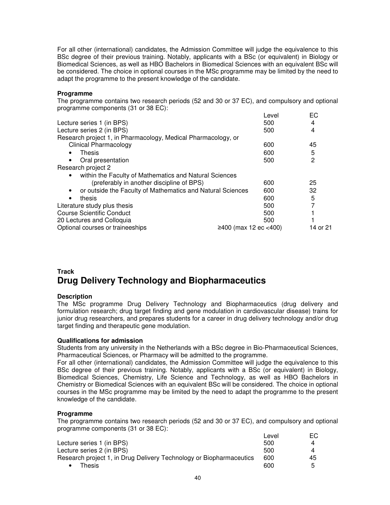For all other (international) candidates, the Admission Committee will judge the equivalence to this BSc degree of their previous training. Notably, applicants with a BSc (or equivalent) in Biology or Biomedical Sciences, as well as HBO Bachelors in Biomedical Sciences with an equivalent BSc will be considered. The choice in optional courses in the MSc programme may be limited by the need to adapt the programme to the present knowledge of the candidate.

## **Programme**

The programme contains two research periods (52 and 30 or 37 EC), and compulsory and optional programme components (31 or 38 EC):

|                                                                         | Level                 | EС       |
|-------------------------------------------------------------------------|-----------------------|----------|
| Lecture series 1 (in BPS)                                               | 500                   | 4        |
| Lecture series 2 (in BPS)                                               | 500                   | 4        |
| Research project 1, in Pharmacology, Medical Pharmacology, or           |                       |          |
| <b>Clinical Pharmacology</b>                                            | 600                   | 45       |
| Thesis<br>$\bullet$                                                     | 600                   | 5        |
| Oral presentation<br>$\bullet$                                          | 500                   | 2        |
| Research project 2                                                      |                       |          |
| within the Faculty of Mathematics and Natural Sciences<br>٠             |                       |          |
| (preferably in another discipline of BPS)                               | 600                   | 25       |
| or outside the Faculty of Mathematics and Natural Sciences<br>$\bullet$ | 600                   | 32       |
| thesis                                                                  | 600                   | 5        |
| Literature study plus thesis                                            | 500                   |          |
| Course Scientific Conduct                                               | 500                   |          |
| 20 Lectures and Colloquia                                               | 500                   |          |
| Optional courses or traineeships                                        | ≥400 (max 12 ec <400) | 14 or 21 |
|                                                                         |                       |          |

# **Track Drug Delivery Technology and Biopharmaceutics**

## **Description**

The MSc programme Drug Delivery Technology and Biopharmaceutics (drug delivery and formulation research; drug target finding and gene modulation in cardiovascular disease) trains for junior drug researchers, and prepares students for a career in drug delivery technology and/or drug target finding and therapeutic gene modulation.

## **Qualifications for admission**

Students from any university in the Netherlands with a BSc degree in Bio-Pharmaceutical Sciences, Pharmaceutical Sciences, or Pharmacy will be admitted to the programme.

For all other (international) candidates, the Admission Committee will judge the equivalence to this BSc degree of their previous training. Notably, applicants with a BSc (or equivalent) in Biology, Biomedical Sciences, Chemistry, Life Science and Technology, as well as HBO Bachelors in Chemistry or Biomedical Sciences with an equivalent BSc will be considered. The choice in optional courses in the MSc programme may be limited by the need to adapt the programme to the present knowledge of the candidate.

## **Programme**

The programme contains two research periods (52 and 30 or 37 EC), and compulsory and optional programme components (31 or 38 EC):

|                                                                     | Level | ЕC |
|---------------------------------------------------------------------|-------|----|
| Lecture series 1 (in BPS)                                           | 500   | 4  |
| Lecture series 2 (in BPS)                                           | 500   | 4  |
| Research project 1, in Drug Delivery Technology or Biopharmaceutics | 600   | 45 |
| Thesis                                                              | 600   | ᄃ  |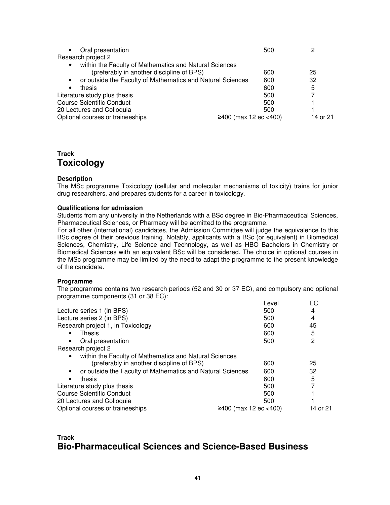| Oral presentation<br>$\bullet$                                          | 500                   |          |
|-------------------------------------------------------------------------|-----------------------|----------|
| Research project 2                                                      |                       |          |
| within the Faculty of Mathematics and Natural Sciences<br>$\bullet$     |                       |          |
| (preferably in another discipline of BPS)                               | 600                   | 25       |
| or outside the Faculty of Mathematics and Natural Sciences<br>$\bullet$ | 600                   | 32       |
| thesis<br>$\bullet$                                                     | 600                   | 5        |
| Literature study plus thesis                                            | 500                   |          |
| <b>Course Scientific Conduct</b>                                        | 500                   |          |
| 20 Lectures and Colloquia                                               | 500                   |          |
| Optional courses or traineeships                                        | ≥400 (max 12 ec <400) | 14 or 21 |

# **Track Toxicology**

#### **Description**

The MSc programme Toxicology (cellular and molecular mechanisms of toxicity) trains for junior drug researchers, and prepares students for a career in toxicology.

#### **Qualifications for admission**

Students from any university in the Netherlands with a BSc degree in Bio-Pharmaceutical Sciences, Pharmaceutical Sciences, or Pharmacy will be admitted to the programme.

For all other (international) candidates, the Admission Committee will judge the equivalence to this BSc degree of their previous training. Notably, applicants with a BSc (or equivalent) in Biomedical Sciences, Chemistry, Life Science and Technology, as well as HBO Bachelors in Chemistry or Biomedical Sciences with an equivalent BSc will be considered. The choice in optional courses in the MSc programme may be limited by the need to adapt the programme to the present knowledge of the candidate.

#### **Programme**

The programme contains two research periods (52 and 30 or 37 EC), and compulsory and optional programme components (31 or 38 EC):

| Level | EС                    |
|-------|-----------------------|
| 500   | 4                     |
| 500   | 4                     |
| 600   | 45                    |
| 600   | 5                     |
| 500   | 2                     |
|       |                       |
|       |                       |
| 600   | 25                    |
| 600   | 32                    |
| 600   | 5                     |
| 500   |                       |
| 500   |                       |
| 500   |                       |
|       | 14 or 21              |
|       | ≥400 (max 12 ec <400) |

## **Track Bio-Pharmaceutical Sciences and Science-Based Business**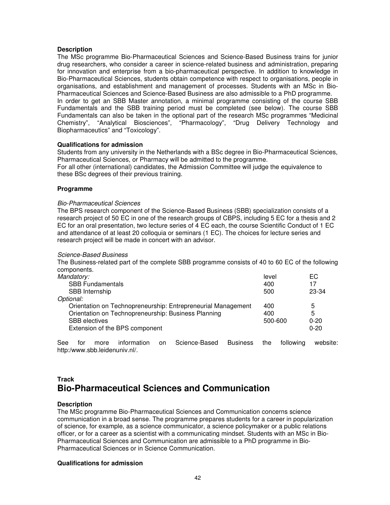#### **Description**

The MSc programme Bio-Pharmaceutical Sciences and Science-Based Business trains for junior drug researchers, who consider a career in science-related business and administration, preparing for innovation and enterprise from a bio-pharmaceutical perspective. In addition to knowledge in Bio-Pharmaceutical Sciences, students obtain competence with respect to organisations, people in organisations, and establishment and management of processes. Students with an MSc in Bio-Pharmaceutical Sciences and Science-Based Business are also admissible to a PhD programme. In order to get an SBB Master annotation, a minimal programme consisting of the course SBB Fundamentals and the SBB training period must be completed (see below). The course SBB Fundamentals can also be taken in the optional part of the research MSc programmes "Medicinal Chemistry", "Analytical Biosciences", "Pharmacology", "Drug Delivery Technology and Biopharmaceutics" and "Toxicology".

#### **Qualifications for admission**

Students from any university in the Netherlands with a BSc degree in Bio-Pharmaceutical Sciences, Pharmaceutical Sciences, or Pharmacy will be admitted to the programme. For all other (international) candidates, the Admission Committee will judge the equivalence to these BSc degrees of their previous training.

#### **Programme**

#### Bio-Pharmaceutical Sciences

The BPS research component of the Science-Based Business (SBB) specialization consists of a research project of 50 EC in one of the research groups of CBPS, including 5 EC for a thesis and 2 EC for an oral presentation, two lecture series of 4 EC each, the course Scientific Conduct of 1 EC and attendance of at least 20 colloquia or seminars (1 EC). The choices for lecture series and research project will be made in concert with an advisor.

#### Science-Based Business

The Business-related part of the complete SBB programme consists of 40 to 60 EC of the following components.

| Mandatory:                                                   | level   | EC       |
|--------------------------------------------------------------|---------|----------|
| <b>SBB Fundamentals</b>                                      | 400     | 17       |
| SBB Internship                                               | 500     | 23-34    |
| Optional:                                                    |         |          |
| Orientation on Technopreneurship: Entrepreneurial Management | 400     | 5        |
| Orientation on Technopreneurship: Business Planning          | 400     | 5        |
| <b>SBB</b> electives                                         | 500-600 | $0 - 20$ |
| Extension of the BPS component                               |         | $0 - 20$ |
|                                                              |         |          |

See for more information on Science-Based Business the following website: http:/www.sbb.leidenuniv.nl/.

# **Track Bio-Pharmaceutical Sciences and Communication**

#### **Description**

The MSc programme Bio-Pharmaceutical Sciences and Communication concerns science communication in a broad sense. The programme prepares students for a career in popularization of science, for example, as a science communicator, a science policymaker or a public relations officer, or for a career as a scientist with a communicating mindset. Students with an MSc in Bio-Pharmaceutical Sciences and Communication are admissible to a PhD programme in Bio-Pharmaceutical Sciences or in Science Communication.

#### **Qualifications for admission**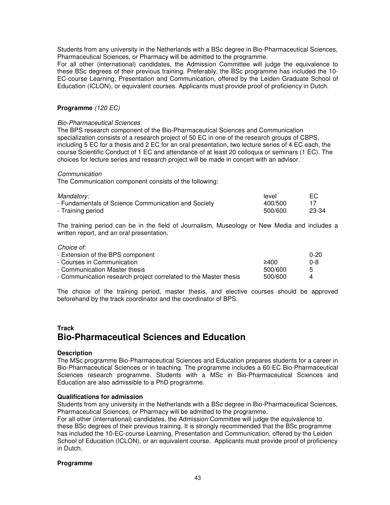Students from any university in the Netherlands with a BSc degree in Bio-Pharmaceutical Sciences, Pharmaceutical Sciences, or Pharmacy will be admitted to the programme.

For all other (international) candidates, the Admission Committee will judge the equivalence to these BSc degrees of their previous training. Preferably, the BSc programme has included the 10- EC-course Learning, Presentation and Communication, offered by the Leiden Graduate School of Education (ICLON), or equivalent courses. Applicants must provide proof of proficiency in Dutch.

## **Programme** (120 EC)

### Bio-Pharmaceutical Sciences

The BPS research component of the Bio-Pharmaceutical Sciences and Communication specialization consists of a research project of 50 EC in one of the research groups of CBPS, including 5 EC for a thesis and 2 EC for an oral presentation, two lecture series of 4 EC each, the course Scientific Conduct of 1 EC and attendance of at least 20 colloquia or seminars (1 EC). The choices for lecture series and research project will be made in concert with an advisor.

#### Communication

The Communication component consists of the following:

| Mandatory:                                          | level   | EC.   |
|-----------------------------------------------------|---------|-------|
| - Fundamentals of Science Communication and Society | 400/500 |       |
| - Training period                                   | 500/600 | 23-34 |

The training period can be in the field of Journalism, Museology or New Media and includes a written report, and an oral presentation.

#### Choice of:

| - Extension of the BPS component                                 |         | $0 - 20$ |
|------------------------------------------------------------------|---------|----------|
| - Courses in Communication                                       | 2400    | 0-8      |
| - Communication Master thesis                                    | 500/600 | 5        |
| - Communication research project correlated to the Master thesis | 500/600 |          |

The choice of the training period, master thesis, and elective courses should be approved beforehand by the track coordinator and the coordinator of BPS.

## **Track Bio-Pharmaceutical Sciences and Education**

#### **Description**

The MSc programme Bio-Pharmaceutical Sciences and Education prepares students for a career in Bio-Pharmaceutical Sciences or in teaching. The programme includes a 60-EC Bio-Pharmaceutical Sciences research programme. Students with a MSc in Bio-Pharmaceutical Sciences and Education are also admissible to a PhD programme.

#### **Qualifications for admission**

Students from any university in the Netherlands with a BSc degree in Bio-Pharmaceutical Sciences, Pharmaceutical Sciences, or Pharmacy will be admitted to the programme.

For all other (international) candidates, the Admission Committee will judge the equivalence to these BSc degrees of their previous training. It is strongly recommended that the BSc programme has included the 10-EC-course Learning, Presentation and Communication, offered by the Leiden School of Education (ICLON), or an equivalent course. Applicants must provide proof of proficiency in Dutch.

#### **Programme**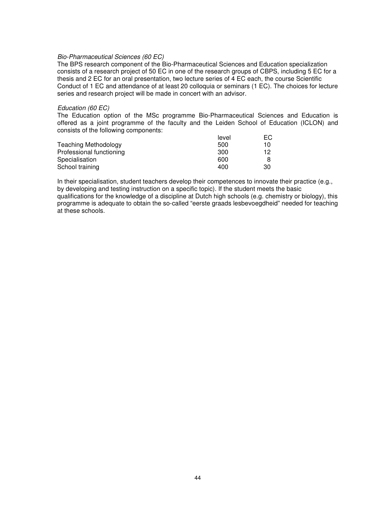#### Bio-Pharmaceutical Sciences (60 EC)

The BPS research component of the Bio-Pharmaceutical Sciences and Education specialization consists of a research project of 50 EC in one of the research groups of CBPS, including 5 EC for a thesis and 2 EC for an oral presentation, two lecture series of 4 EC each, the course Scientific Conduct of 1 EC and attendance of at least 20 colloquia or seminars (1 EC). The choices for lecture series and research project will be made in concert with an advisor.

#### Education (60 EC)

The Education option of the MSc programme Bio-Pharmaceutical Sciences and Education is offered as a joint programme of the faculty and the Leiden School of Education (ICLON) and consists of the following components:

|                          | level | EG. |
|--------------------------|-------|-----|
| Teaching Methodology     | 500   | 10  |
| Professional functioning | 300   | 12  |
| Specialisation           | 600   |     |
| School training          | 400   | 30  |

In their specialisation, student teachers develop their competences to innovate their practice (e.g., by developing and testing instruction on a specific topic). If the student meets the basic

qualifications for the knowledge of a discipline at Dutch high schools (e.g. chemistry or biology), this programme is adequate to obtain the so-called "eerste graads lesbevoegdheid" needed for teaching at these schools.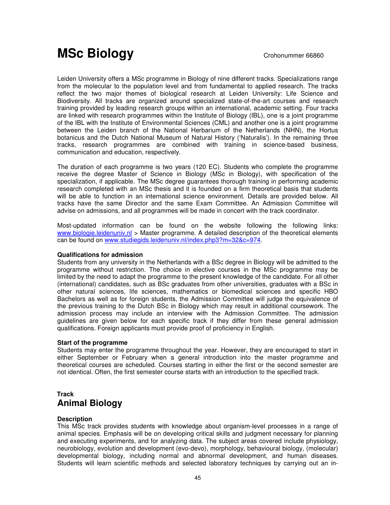# **MSc Biology** Crohonummer 66860

Leiden University offers a MSc programme in Biology of nine different tracks. Specializations range from the molecular to the population level and from fundamental to applied research. The tracks reflect the two major themes of biological research at Leiden University: Life Science and Biodiversity. All tracks are organized around specialized state-of-the-art courses and research training provided by leading research groups within an international, academic setting. Four tracks are linked with research programmes within the Institute of Biology (IBL), one is a joint programme of the IBL with the Institute of Environmental Sciences (CML) and another one is a joint programme between the Leiden branch of the National Herbarium of the Netherlands (NHN), the Hortus botanicus and the Dutch National Museum of Natural History ('Naturalis'). In the remaining three tracks, research programmes are combined with training in science-based business, communication and education, respectively.

The duration of each programme is two years (120 EC). Students who complete the programme receive the degree Master of Science in Biology (MSc in Biology), with specification of the specialization, if applicable. The MSc degree guarantees thorough training in performing academic research completed with an MSc thesis and it is founded on a firm theoretical basis that students will be able to function in an international science environment. Details are provided below. All tracks have the same Director and the same Exam Committee. An Admission Committee will advise on admissions, and all programmes will be made in concert with the track coordinator.

Most-updated information can be found on the website following the following links: www.biologie.leidenuniv.nl > Master programme. A detailed description of the theoretical elements can be found on www.studiegids.leidenuniv.nl/index.php3?m=32&c=974.

#### **Qualifications for admission**

Students from any university in the Netherlands with a BSc degree in Biology will be admitted to the programme without restriction. The choice in elective courses in the MSc programme may be limited by the need to adapt the programme to the present knowledge of the candidate. For all other (international) candidates, such as BSc graduates from other universities, graduates with a BSc in other natural sciences, life sciences, mathematics or biomedical sciences and specific HBO Bachelors as well as for foreign students, the Admission Committee will judge the equivalence of the previous training to the Dutch BSc in Biology which may result in additional coursework. The admission process may include an interview with the Admission Committee. The admission guidelines are given below for each specific track if they differ from these general admission qualifications. Foreign applicants must provide proof of proficiency in English.

#### **Start of the programme**

Students may enter the programme throughout the year. However, they are encouraged to start in either September or February when a general introduction into the master programme and theoretical courses are scheduled. Courses starting in either the first or the second semester are not identical. Often, the first semester course starts with an introduction to the specified track.

## **Track Animal Biology**

## **Description**

This MSc track provides students with knowledge about organism-level processes in a range of animal species. Emphasis will be on developing critical skills and judgment necessary for planning and executing experiments, and for analyzing data. The subject areas covered include physiology, neurobiology, evolution and development (evo-devo), morphology, behavioural biology, (molecular) developmental biology, including normal and abnormal development, and human diseases. Students will learn scientific methods and selected laboratory techniques by carrying out an in-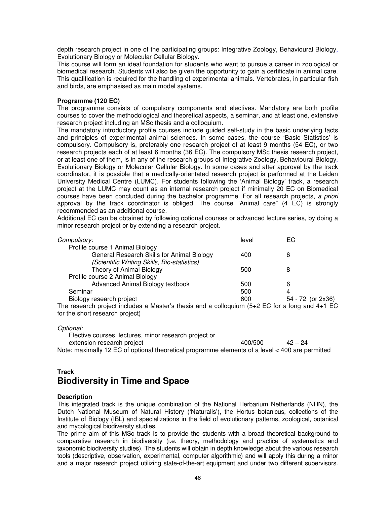depth research project in one of the participating groups: Integrative Zoology, Behavioural Biology, Evolutionary Biology or Molecular Cellular Biology.

This course will form an ideal foundation for students who want to pursue a career in zoological or biomedical research. Students will also be given the opportunity to gain a certificate in animal care. This qualification is required for the handling of experimental animals. Vertebrates, in particular fish and birds, are emphasised as main model systems.

#### **Programme (120 EC)**

The programme consists of compulsory components and electives. Mandatory are both profile courses to cover the methodological and theoretical aspects, a seminar, and at least one, extensive research project including an MSc thesis and a colloquium.

The mandatory introductory profile courses include guided self-study in the basic underlying facts and principles of experimental animal sciences. In some cases, the course 'Basic Statistics' is compulsory. Compulsory is, preferably one research project of at least 9 months (54 EC), or two research projects each of at least 6 months (36 EC). The compulsory MSc thesis research project, or at least one of them, is in any of the research groups of Integrative Zoology, Behavioural Biology, Evolutionary Biology or Molecular Cellular Biology. In some cases and after approval by the track coordinator, it is possible that a medically-orientated research project is performed at the Leiden University Medical Centre (LUMC). For students following the 'Animal Biology' track, a research project at the LUMC may count as an internal research project if minimally 20 EC on Biomedical courses have been concluded during the bachelor programme. For all research projects, a priori approval by the track coordinator is obliged. The course "Animal care" (4 EC) is strongly recommended as an additional course.

Additional EC can be obtained by following optional courses or advanced lecture series, by doing a minor research project or by extending a research project.

| Compulsory:                                 | level | EС                |  |
|---------------------------------------------|-------|-------------------|--|
| Profile course 1 Animal Biology             |       |                   |  |
| General Research Skills for Animal Biology  | 400   | 6                 |  |
| (Scientific Writing Skills, Bio-statistics) |       |                   |  |
| Theory of Animal Biology                    | 500   | 8                 |  |
| Profile course 2 Animal Biology             |       |                   |  |
| Advanced Animal Biology textbook            | 500   | 6                 |  |
| Seminar                                     | 500   | 4                 |  |
| Biology research project                    | 600   | 54 - 72 (or 2x36) |  |
|                                             |       |                   |  |

The research project includes a Master's thesis and a colloquium (5+2 EC for a long and 4+1 EC for the short research project)

Optional:

 Elective courses, lectures, minor research project or extension research project  $400/500$   $42 - 24$ Note: maximally 12 EC of optional theoretical programme elements of a level < 400 are permitted

## **Track**

# **Biodiversity in Time and Space**

#### **Description**

This integrated track is the unique combination of the National Herbarium Netherlands (NHN), the Dutch National Museum of Natural History ('Naturalis'), the Hortus botanicus, collections of the Institute of Biology (IBL) and specializations in the field of evolutionary patterns, zoological, botanical and mycological biodiversity studies.

The prime aim of this MSc track is to provide the students with a broad theoretical background to comparative research in biodiversity (i.e. theory, methodology and practice of systematics and taxonomic biodiversity studies). The students will obtain in depth knowledge about the various research tools (descriptive, observation, experimental, computer algorithmic) and will apply this during a minor and a major research project utilizing state-of-the-art equipment and under two different supervisors.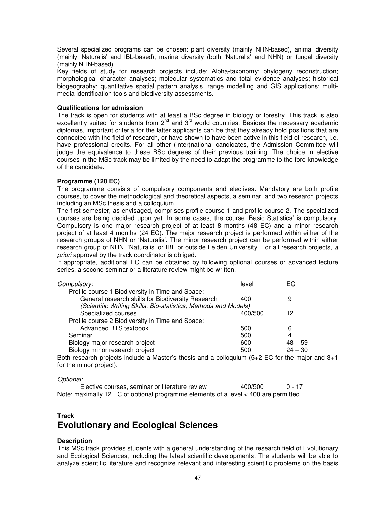Several specialized programs can be chosen: plant diversity (mainly NHN-based), animal diversity (mainly 'Naturalis' and IBL-based), marine diversity (both 'Naturalis' and NHN) or fungal diversity (mainly NHN-based).

Key fields of study for research projects include: Alpha-taxonomy; phylogeny reconstruction; morphological character analyses; molecular systematics and total evidence analyses; historical biogeography; quantitative spatial pattern analysis, range modelling and GIS applications; multimedia identification tools and biodiversity assessments.

#### **Qualifications for admission**

The track is open for students with at least a BSc degree in biology or forestry. This track is also excellently suited for students from  $2^{nd}$  and  $3^{rd}$  world countries. Besides the necessary academic diplomas, important criteria for the latter applicants can be that they already hold positions that are connected with the field of research, or have shown to have been active in this field of research, i.e. have professional credits. For all other (inter)national candidates, the Admission Committee will judge the equivalence to these BSc degrees of their previous training. The choice in elective courses in the MSc track may be limited by the need to adapt the programme to the fore-knowledge of the candidate.

#### **Programme (120 EC)**

The programme consists of compulsory components and electives. Mandatory are both profile courses, to cover the methodological and theoretical aspects, a seminar, and two research projects including an MSc thesis and a colloquium.

The first semester, as envisaged, comprises profile course 1 and profile course 2. The specialized courses are being decided upon yet. In some cases, the course 'Basic Statistics' is compulsory. Compulsory is one major research project of at least 8 months (48 EC) and a minor research project of at least 4 months (24 EC). The major research project is performed within either of the research groups of NHN or 'Naturalis'. The minor research project can be performed within either research group of NHN, 'Naturalis' or IBL or outside Leiden University. For all research projects, a priori approval by the track coordinator is obliged.

If appropriate, additional EC can be obtained by following optional courses or advanced lecture series, a second seminar or a literature review might be written.

| Compulsory:                                                     | level   | ЕC        |
|-----------------------------------------------------------------|---------|-----------|
| Profile course 1 Biodiversity in Time and Space:                |         |           |
| General research skills for Biodiversity Research               | 400     |           |
| (Scientific Writing Skills, Bio-statistics, Methods and Models) |         |           |
| Specialized courses                                             | 400/500 | 12        |
| Profile course 2 Biodiversity in Time and Space:                |         |           |
| Advanced BTS textbook                                           | 500     |           |
| Seminar                                                         | 500     | 4         |
| Biology major research project                                  | 600     | $48 - 59$ |
| Biology minor research project                                  | 500     | $24 - 30$ |

Both research projects include a Master's thesis and a colloquium (5+2 EC for the major and 3+1 for the minor project).

#### Optional:

 Elective courses, seminar or literature review 400/500 0 - 17 Note: maximally 12 EC of optional programme elements of a level < 400 are permitted.

## **Track Evolutionary and Ecological Sciences**

#### **Description**

This MSc track provides students with a general understanding of the research field of Evolutionary and Ecological Sciences, including the latest scientific developments. The students will be able to analyze scientific literature and recognize relevant and interesting scientific problems on the basis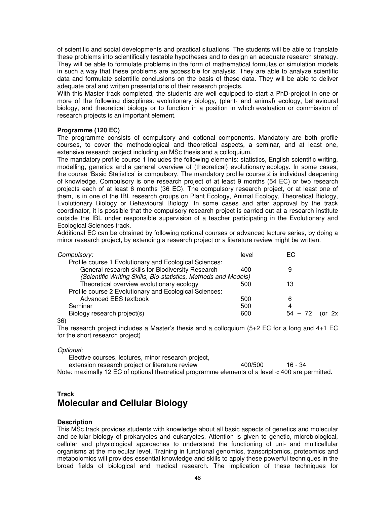of scientific and social developments and practical situations. The students will be able to translate these problems into scientifically testable hypotheses and to design an adequate research strategy. They will be able to formulate problems in the form of mathematical formulas or simulation models in such a way that these problems are accessible for analysis. They are able to analyze scientific data and formulate scientific conclusions on the basis of these data. They will be able to deliver adequate oral and written presentations of their research projects.

With this Master track completed, the students are well equipped to start a PhD-project in one or more of the following disciplines: evolutionary biology, (plant- and animal) ecology, behavioural biology, and theoretical biology or to function in a position in which evaluation or commission of research projects is an important element.

#### **Programme (120 EC)**

The programme consists of compulsory and optional components. Mandatory are both profile courses, to cover the methodological and theoretical aspects, a seminar, and at least one, extensive research project including an MSc thesis and a colloquium.

The mandatory profile course 1 includes the following elements: statistics, English scientific writing, modelling, genetics and a general overview of (theoretical) evolutionary ecology. In some cases, the course 'Basic Statistics' is compulsory. The mandatory profile course 2 is individual deepening of knowledge. Compulsory is one research project of at least 9 months (54 EC) or two research projects each of at least 6 months (36 EC). The compulsory research project, or at least one of them, is in one of the IBL research groups on Plant Ecology, Animal Ecology, Theoretical Biology, Evolutionary Biology or Behavioural Biology. In some cases and after approval by the track coordinator, it is possible that the compulsory research project is carried out at a research institute outside the IBL under responsible supervision of a teacher participating in the Evolutionary and Ecological Sciences track.

Additional EC can be obtained by following optional courses or advanced lecture series, by doing a minor research project, by extending a research project or a literature review might be written.

| EC.       |    |
|-----------|----|
|           |    |
| 9         |    |
|           |    |
| 13        |    |
|           |    |
| 6         |    |
| 4         |    |
| $54 - 72$ | 2x |
|           |    |

#### 36)

The research project includes a Master's thesis and a colloquium (5+2 EC for a long and 4+1 EC for the short research project)

#### Optional:

 Elective courses, lectures, minor research project, extension research project or literature review 400/500 16 - 34 Note: maximally 12 EC of optional theoretical programme elements of a level < 400 are permitted.

## **Track Molecular and Cellular Biology**

#### **Description**

This MSc track provides students with knowledge about all basic aspects of genetics and molecular and cellular biology of prokaryotes and eukaryotes. Attention is given to genetic, microbiological, cellular and physiological approaches to understand the functioning of uni- and multicellular organisms at the molecular level. Training in functional genomics, transcriptomics, proteomics and metabolomics will provides essential knowledge and skills to apply these powerful techniques in the broad fields of biological and medical research. The implication of these techniques for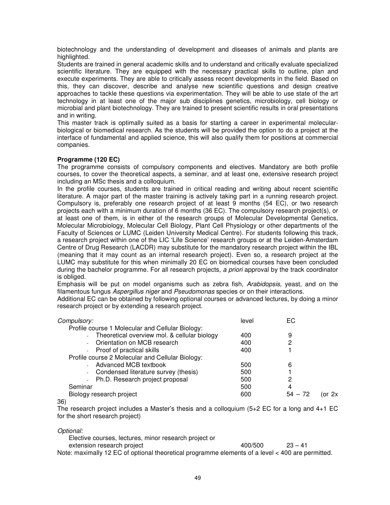biotechnology and the understanding of development and diseases of animals and plants are highlighted.

Students are trained in general academic skills and to understand and critically evaluate specialized scientific literature. They are equipped with the necessary practical skills to outline, plan and execute experiments. They are able to critically assess recent developments in the field. Based on this, they can discover, describe and analyse new scientific questions and design creative approaches to tackle these questions via experimentation. They will be able to use state of the art technology in at least one of the major sub disciplines genetics, microbiology, cell biology or microbial and plant biotechnology. They are trained to present scientific results in oral presentations and in writing.

This master track is optimally suited as a basis for starting a career in experimental molecularbiological or biomedical research. As the students will be provided the option to do a project at the interface of fundamental and applied science, this will also qualify them for positions at commercial companies.

#### **Programme (120 EC)**

The programme consists of compulsory components and electives. Mandatory are both profile courses, to cover the theoretical aspects, a seminar, and at least one, extensive research project including an MSc thesis and a colloquium.

In the profile courses, students are trained in critical reading and writing about recent scientific literature. A major part of the master training is actively taking part in a running research project. Compulsory is, preferably one research project of at least 9 months (54 EC), or two research projects each with a minimum duration of 6 months (36 EC). The compulsory research project(s), or at least one of them, is in either of the research groups of Molecular Developmental Genetics, Molecular Microbiology, Molecular Cell Biology, Plant Cell Physiology or other departments of the Faculty of Sciences or LUMC (Leiden University Medical Centre). For students following this track, a research project within one of the LIC 'Life Science' research groups or at the Leiden-Amsterdam Centre of Drug Research (LACDR) may substitute for the mandatory research project within the IBL (meaning that it may count as an internal research project). Even so, a research project at the LUMC may substitute for this when minimally 20 EC on biomedical courses have been concluded during the bachelor programme. For all research projects, a priori approval by the track coordinator is obliged.

Emphasis will be put on model organisms such as zebra fish, Arabidopsis, yeast, and on the filamentous fungus Aspergillus niger and Pseudomonas species or on their interactions.

Additional EC can be obtained by following optional courses or advanced lectures, by doing a minor research project or by extending a research project.

| Compulsory:                                      | level | EC.       |          |
|--------------------------------------------------|-------|-----------|----------|
| Profile course 1 Molecular and Cellular Biology: |       |           |          |
| - Theoretical overview mol. & cellular biology   | 400   | 9         |          |
| - Orientation on MCB research                    | 400   | 2         |          |
| - Proof of practical skills                      | 400   |           |          |
| Profile course 2 Molecular and Cellular Biology: |       |           |          |
| - Advanced MCB textbook                          | 500   | 6         |          |
| - Condensed literature survey (thesis)           | 500   |           |          |
| - Ph.D. Research project proposal                | 500   | 2         |          |
| Seminar                                          | 500   | 4         |          |
| Biology research project                         | 600   | $54 - 72$ | (or $2x$ |

36)

The research project includes a Master's thesis and a colloquium (5+2 EC for a long and 4+1 EC for the short research project)

Optional:

| Elective courses, lectures, minor research project or                                            |         |           |
|--------------------------------------------------------------------------------------------------|---------|-----------|
| extension research project                                                                       | 400/500 | $23 - 41$ |
| Note: maximally 12 EC of optional theoretical programme elements of a level < 400 are permitted. |         |           |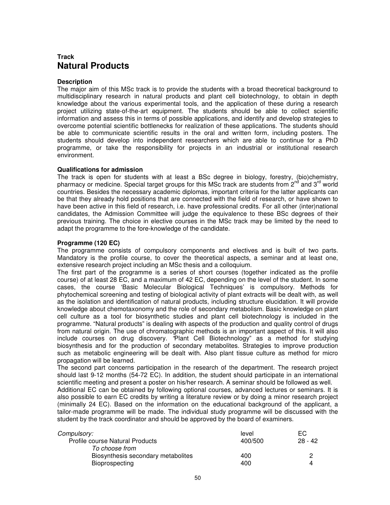## **Track Natural Products**

#### **Description**

The major aim of this MSc track is to provide the students with a broad theoretical background to multidisciplinary research in natural products and plant cell biotechnology, to obtain in depth knowledge about the various experimental tools, and the application of these during a research project utilizing state-of-the-art equipment. The students should be able to collect scientific information and assess this in terms of possible applications, and identify and develop strategies to overcome potential scientific bottlenecks for realization of these applications. The students should be able to communicate scientific results in the oral and written form, including posters. The students should develop into independent researchers which are able to continue for a PhD programme, or take the responsibility for projects in an industrial or institutional research environment.

#### **Qualifications for admission**

The track is open for students with at least a BSc degree in biology, forestry, (bio)chemistry, pharmacy or medicine. Special target groups for this MSc track are students from  $2^{nd}$  and  $3^{rd}$  world countries. Besides the necessary academic diplomas, important criteria for the latter applicants can be that they already hold positions that are connected with the field of research, or have shown to have been active in this field of research, i.e. have professional credits. For all other (inter)national candidates, the Admission Committee will judge the equivalence to these BSc degrees of their previous training. The choice in elective courses in the MSc track may be limited by the need to adapt the programme to the fore-knowledge of the candidate.

#### **Programme (120 EC)**

The programme consists of compulsory components and electives and is built of two parts. Mandatory is the profile course, to cover the theoretical aspects, a seminar and at least one, extensive research project including an MSc thesis and a colloquium.

The first part of the programme is a series of short courses (together indicated as the profile course) of at least 28 EC, and a maximum of 42 EC, depending on the level of the student. In some cases, the course 'Basic Molecular Biological Techniques' is compulsory. Methods for phytochemical screening and testing of biological activity of plant extracts will be dealt with, as well as the isolation and identification of natural products, including structure elucidation. It will provide knowledge about chemotaxonomy and the role of secondary metabolism. Basic knowledge on plant cell culture as a tool for biosynthetic studies and plant cell biotechnology is included in the programme. "Natural products" is dealing with aspects of the production and quality control of drugs from natural origin. The use of chromatographic methods is an important aspect of this. It will also include courses on drug discovery. "Plant Cell Biotechnology" as a method for studying biosynthesis and for the production of secondary metabolites. Strategies to improve production such as metabolic engineering will be dealt with. Also plant tissue culture as method for micro propagation will be learned.

The second part concerns participation in the research of the department. The research project should last 9-12 months (54-72 EC). In addition, the student should participate in an international scientific meeting and present a poster on his/her research. A seminar should be followed as well.

Additional EC can be obtained by following optional courses, advanced lectures or seminars. It is also possible to earn EC credits by writing a literature review or by doing a minor research project (minimally 24 EC). Based on the information on the educational background of the applicant, a tailor-made programme will be made. The individual study programme will be discussed with the student by the track coordinator and should be approved by the board of examiners.

| <i>Compulsory:</i>                     | level   | EC.     |
|----------------------------------------|---------|---------|
| <b>Profile course Natural Products</b> | 400/500 | 28 - 42 |
| To choose from                         |         |         |
| Biosynthesis secondary metabolites     | 400     |         |
| <b>Bioprospecting</b>                  | 400     | Δ       |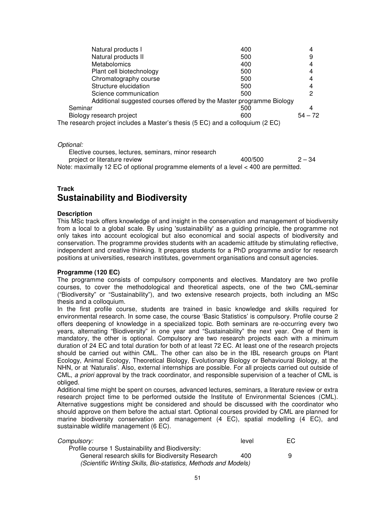| Natural products I                                                             | 400 |           |
|--------------------------------------------------------------------------------|-----|-----------|
|                                                                                |     |           |
| Natural products II                                                            | 500 | 9         |
| <b>Metabolomics</b>                                                            | 400 | 4         |
| Plant cell biotechnology                                                       | 500 | 4         |
| Chromatography course                                                          | 500 | 4         |
| Structure elucidation                                                          | 500 | 4         |
| Science communication                                                          | 500 | 2         |
| Additional suggested courses offered by the Master programme Biology           |     |           |
| Seminar                                                                        | 500 |           |
| Biology research project                                                       | 600 | $54 - 72$ |
| The research project includes a Master's thesis (5 EC) and a colloquium (2 EC) |     |           |

Optional:

| Elective courses, lectures, seminars, minor research                                 |         |          |
|--------------------------------------------------------------------------------------|---------|----------|
| project or literature review                                                         | 400/500 | $2 - 34$ |
| Note: maximally 12 EC of optional programme elements of a level < 400 are permitted. |         |          |

# **Track Sustainability and Biodiversity**

#### **Description**

This MSc track offers knowledge of and insight in the conservation and management of biodiversity from a local to a global scale. By using 'sustainability' as a guiding principle, the programme not only takes into account ecological but also economical and social aspects of biodiversity and conservation. The programme provides students with an academic attitude by stimulating reflective, independent and creative thinking. It prepares students for a PhD programme and/or for research positions at universities, research institutes, government organisations and consult agencies.

## **Programme (120 EC)**

The programme consists of compulsory components and electives. Mandatory are two profile courses, to cover the methodological and theoretical aspects, one of the two CML-seminar ("Biodiversity" or "Sustainability"), and two extensive research projects, both including an MSc thesis and a colloquium.

In the first profile course, students are trained in basic knowledge and skills required for environmental research. In some case, the course 'Basic Statistics' is compulsory. Profile course 2 offers deepening of knowledge in a specialized topic. Both seminars are re-occurring every two years, alternating "Biodiversity" in one year and "Sustainability" the next year. One of them is mandatory, the other is optional. Compulsory are two research projects each with a minimum duration of 24 EC and total duration for both of at least 72 EC. At least one of the research projects should be carried out within CML. The other can also be in the IBL research groups on Plant Ecology, Animal Ecology, Theoretical Biology, Evolutionary Biology or Behavioural Biology, at the NHN, or at 'Naturalis'. Also, external internships are possible. For all projects carried out outside of CML, a priori approval by the track coordinator, and responsible supervision of a teacher of CML is obliged.

Additional time might be spent on courses, advanced lectures, seminars, a literature review or extra research project time to be performed outside the Institute of Environmental Sciences (CML). Alternative suggestions might be considered and should be discussed with the coordinator who should approve on them before the actual start. Optional courses provided by CML are planned for marine biodiversity conservation and management (4 EC), spatial modelling (4 EC), and sustainable wildlife management (6 EC).

| <i>Compulsory:</i>                                              | level | EC |
|-----------------------------------------------------------------|-------|----|
| Profile course 1 Sustainability and Biodiversity:               |       |    |
| General research skills for Biodiversity Research               | 400   | 9  |
| (Scientific Writing Skills, Bio-statistics, Methods and Models) |       |    |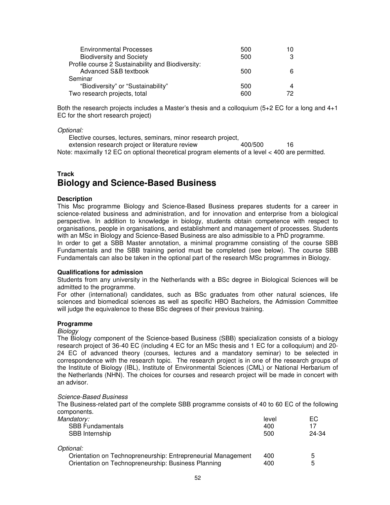| <b>Environmental Processes</b>                    | 500 | 10 |
|---------------------------------------------------|-----|----|
| <b>Biodiversity and Society</b>                   | 500 |    |
| Profile course 2 Sustainability and Biodiversity: |     |    |
| Advanced S&B textbook                             | 500 |    |
| Seminar                                           |     |    |
| "Biodiversity" or "Sustainability"                | 500 |    |
| Two research projects, total                      | 600 | 79 |

Both the research projects includes a Master's thesis and a colloquium (5+2 EC for a long and 4+1 EC for the short research project)

Optional:

Elective courses, lectures, seminars, minor research project,

extension research project or literature review 400/500 16

Note: maximally 12 EC on optional theoretical program elements of a level < 400 are permitted.

## **Track Biology and Science-Based Business**

#### **Description**

This Msc programme Biology and Science-Based Business prepares students for a career in science-related business and administration, and for innovation and enterprise from a biological perspective. In addition to knowledge in biology, students obtain competence with respect to organisations, people in organisations, and establishment and management of processes. Students with an MSc in Biology and Science-Based Business are also admissible to a PhD programme. In order to get a SBB Master annotation, a minimal programme consisting of the course SBB Fundamentals and the SBB training period must be completed (see below). The course SBB

Fundamentals can also be taken in the optional part of the research MSc programmes in Biology.

#### **Qualifications for admission**

Students from any university in the Netherlands with a BSc degree in Biological Sciences will be admitted to the programme.

For other (international) candidates, such as BSc graduates from other natural sciences, life sciences and biomedical sciences as well as specific HBO Bachelors, the Admission Committee will judge the equivalence to these BSc degrees of their previous training.

#### **Programme**

#### **Biology**

The Biology component of the Science-based Business (SBB) specialization consists of a biology research project of 36-40 EC (including 4 EC for an MSc thesis and 1 EC for a colloquium) and 20- 24 EC of advanced theory (courses, lectures and a mandatory seminar) to be selected in correspondence with the research topic. The research project is in one of the research groups of the Institute of Biology (IBL), Institute of Environmental Sciences (CML) or National Herbarium of the Netherlands (NHN). The choices for courses and research project will be made in concert with an advisor.

#### Science-Based Business

The Business-related part of the complete SBB programme consists of 40 to 60 EC of the following components.

| Mandatory:                                                   | level | EС    |
|--------------------------------------------------------------|-------|-------|
| <b>SBB Fundamentals</b>                                      | 400   | 17    |
| SBB Internship                                               | 500   | 24-34 |
| Optional:                                                    |       |       |
| Orientation on Technopreneurship: Entrepreneurial Management | 400   | 5     |
| Orientation on Technopreneurship: Business Planning          | 400   | 5     |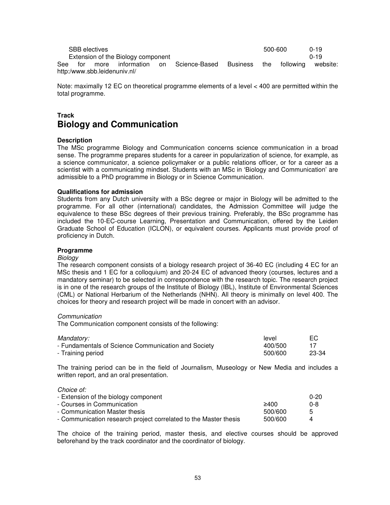|         | <b>SBB</b> electives |                                    |                                                                   | 500-600 | $0 - 19$ |
|---------|----------------------|------------------------------------|-------------------------------------------------------------------|---------|----------|
|         |                      | Extension of the Biology component |                                                                   |         | በ-19     |
| See for |                      |                                    | more information on Science-Based Business the following website: |         |          |
|         |                      | http:/www.sbb.leidenuniv.nl/       |                                                                   |         |          |

Note: maximally 12 EC on theoretical programme elements of a level < 400 are permitted within the total programme.

## **Track Biology and Communication**

#### **Description**

The MSc programme Biology and Communication concerns science communication in a broad sense. The programme prepares students for a career in popularization of science, for example, as a science communicator, a science policymaker or a public relations officer, or for a career as a scientist with a communicating mindset. Students with an MSc in 'Biology and Communication' are admissible to a PhD programme in Biology or in Science Communication.

#### **Qualifications for admission**

Students from any Dutch university with a BSc degree or major in Biology will be admitted to the programme. For all other (international) candidates, the Admission Committee will judge the equivalence to these BSc degrees of their previous training. Preferably, the BSc programme has included the 10-EC-course Learning, Presentation and Communication, offered by the Leiden Graduate School of Education (ICLON), or equivalent courses. Applicants must provide proof of proficiency in Dutch.

#### **Programme**

#### **Biology**

The research component consists of a biology research project of 36-40 EC (including 4 EC for an MSc thesis and 1 EC for a colloquium) and 20-24 EC of advanced theory (courses, lectures and a mandatory seminar) to be selected in correspondence with the research topic. The research project is in one of the research groups of the Institute of Biology (IBL), Institute of Environmental Sciences (CML) or National Herbarium of the Netherlands (NHN). All theory is minimally on level 400. The choices for theory and research project will be made in concert with an advisor.

#### Communication

The Communication component consists of the following:

| Mandatory:                                          | level   | EC.   |
|-----------------------------------------------------|---------|-------|
| - Fundamentals of Science Communication and Society | 400/500 |       |
| - Training period                                   | 500/600 | 23-34 |

The training period can be in the field of Journalism, Museology or New Media and includes a written report, and an oral presentation.

Choice of:

| - Extension of the biology component                             |         | 0-20 |
|------------------------------------------------------------------|---------|------|
| - Courses in Communication                                       | 2400    | 0-8  |
| - Communication Master thesis                                    | 500/600 |      |
| - Communication research project correlated to the Master thesis | 500/600 |      |

The choice of the training period, master thesis, and elective courses should be approved beforehand by the track coordinator and the coordinator of biology.